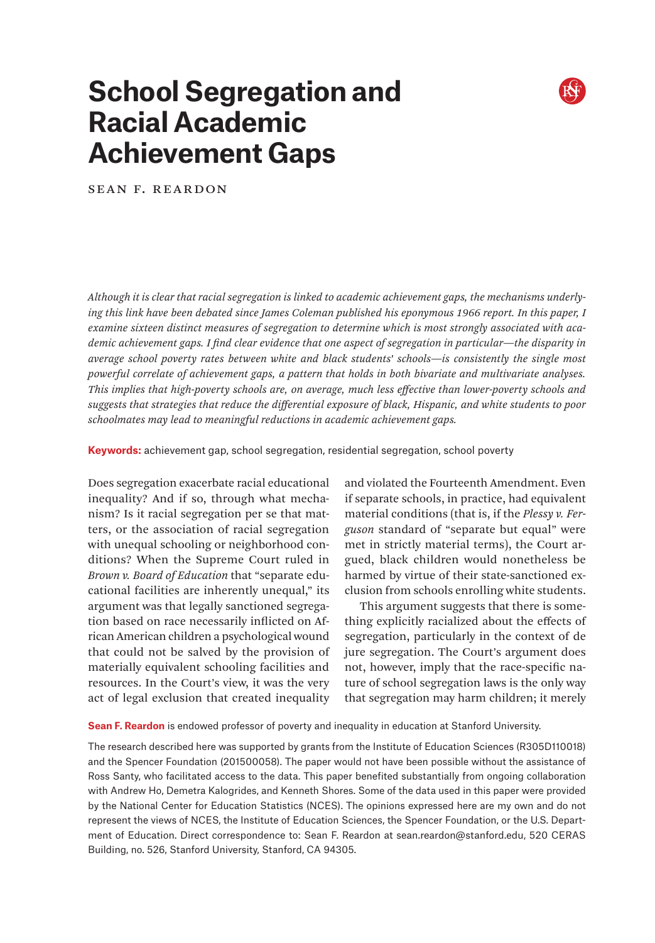# **School Segregation and Racial Academic Achievement Gaps**

Sean F. Reardon

*Although it is clear that racial segregation is linked to academic achievement gaps, the mechanisms underlying this link have been debated since James Coleman published his eponymous 1966 report. In this paper, I examine sixteen distinct measures of segregation to determine which is most strongly associated with academic achievement gaps. I find clear evidence that one aspect of segregation in particular—the disparity in average school poverty rates between white and black students' schools—is consistently the single most powerful correlate of achievement gaps, a pattern that holds in both bivariate and multivariate analyses. This implies that high-poverty schools are, on average, much less effective than lower-poverty schools and suggests that strategies that reduce the differential exposure of black, Hispanic, and white students to poor schoolmates may lead to meaningful reductions in academic achievement gaps.*

**Keywords:** achievement gap, school segregation, residential segregation, school poverty

Does segregation exacerbate racial educational inequality? And if so, through what mechanism? Is it racial segregation per se that matters, or the association of racial segregation with unequal schooling or neighborhood conditions? When the Supreme Court ruled in *Brown v. Board of Education* that "separate educational facilities are inherently unequal," its argument was that legally sanctioned segregation based on race necessarily inflicted on African American children a psychological wound that could not be salved by the provision of materially equivalent schooling facilities and resources. In the Court's view, it was the very act of legal exclusion that created inequality

and violated the Fourteenth Amendment. Even if separate schools, in practice, had equivalent material conditions (that is, if the *Plessy v. Ferguson* standard of "separate but equal" were met in strictly material terms), the Court argued, black children would nonetheless be harmed by virtue of their state-sanctioned exclusion from schools enrolling white students.

This argument suggests that there is something explicitly racialized about the effects of segregation, particularly in the context of de jure segregation. The Court's argument does not, however, imply that the race-specific nature of school segregation laws is the only way that segregation may harm children; it merely

**Sean F. Reardon** is endowed professor of poverty and inequality in education at Stanford University.

The research described here was supported by grants from the Institute of Education Sciences (R305D110018) and the Spencer Foundation (201500058). The paper would not have been possible without the assistance of Ross Santy, who facilitated access to the data. This paper benefited substantially from ongoing collaboration with Andrew Ho, Demetra Kalogrides, and Kenneth Shores. Some of the data used in this paper were provided by the National Center for Education Statistics (NCES). The opinions expressed here are my own and do not represent the views of NCES, the Institute of Education Sciences, the Spencer Foundation, or the U.S. Department of Education. Direct correspondence to: Sean F. Reardon at [sean.reardon@stanford.edu](mailto:sean.reardon%40stanford.edu?subject=), 520 CERAS Building, no. 526, Stanford University, Stanford, CA 94305.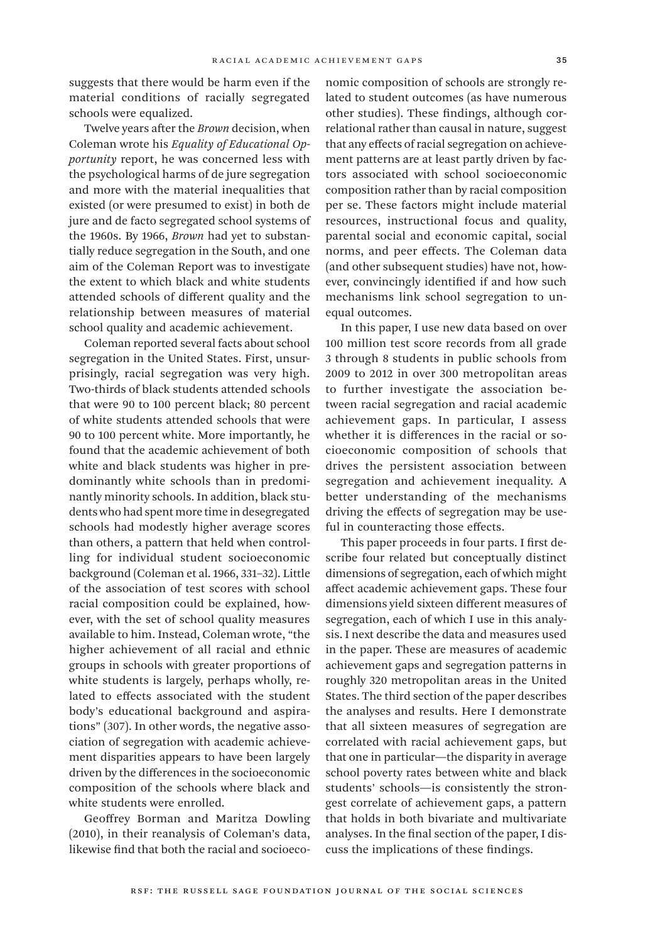suggests that there would be harm even if the material conditions of racially segregated schools were equalized.

Twelve years after the *Brown* decision, when Coleman wrote his *Equality of Educational Opportunity* report, he was concerned less with the psychological harms of de jure segregation and more with the material inequalities that existed (or were presumed to exist) in both de jure and de facto segregated school systems of the 1960s. By 1966, *Brown* had yet to substantially reduce segregation in the South, and one aim of the Coleman Report was to investigate the extent to which black and white students attended schools of different quality and the relationship between measures of material school quality and academic achievement.

Coleman reported several facts about school segregation in the United States. First, unsurprisingly, racial segregation was very high. Two-thirds of black students attended schools that were 90 to 100 percent black; 80 percent of white students attended schools that were 90 to 100 percent white. More importantly, he found that the academic achievement of both white and black students was higher in predominantly white schools than in predominantly minority schools. In addition, black students who had spent more time in desegregated schools had modestly higher average scores than others, a pattern that held when controlling for individual student socioeconomic background (Coleman et al. 1966, 331–32). Little of the association of test scores with school racial composition could be explained, however, with the set of school quality measures available to him. Instead, Coleman wrote, "the higher achievement of all racial and ethnic groups in schools with greater proportions of white students is largely, perhaps wholly, related to effects associated with the student body's educational background and aspirations" (307). In other words, the negative association of segregation with academic achievement disparities appears to have been largely driven by the differences in the socioeconomic composition of the schools where black and white students were enrolled.

Geoffrey Borman and Maritza Dowling (2010), in their reanalysis of Coleman's data, likewise find that both the racial and socioeconomic composition of schools are strongly related to student outcomes (as have numerous other studies). These findings, although correlational rather than causal in nature, suggest that any effects of racial segregation on achievement patterns are at least partly driven by factors associated with school socioeconomic composition rather than by racial composition per se. These factors might include material resources, instructional focus and quality, parental social and economic capital, social norms, and peer effects. The Coleman data (and other subsequent studies) have not, however, convincingly identified if and how such mechanisms link school segregation to unequal outcomes.

In this paper, I use new data based on over 100 million test score records from all grade 3 through 8 students in public schools from 2009 to 2012 in over 300 metropolitan areas to further investigate the association between racial segregation and racial academic achievement gaps. In particular, I assess whether it is differences in the racial or socioeconomic composition of schools that drives the persistent association between segregation and achievement inequality. A better understanding of the mechanisms driving the effects of segregation may be useful in counteracting those effects.

This paper proceeds in four parts. I first describe four related but conceptually distinct dimensions of segregation, each of which might affect academic achievement gaps. These four dimensions yield sixteen different measures of segregation, each of which I use in this analysis. I next describe the data and measures used in the paper. These are measures of academic achievement gaps and segregation patterns in roughly 320 metropolitan areas in the United States. The third section of the paper describes the analyses and results. Here I demonstrate that all sixteen measures of segregation are correlated with racial achievement gaps, but that one in particular—the disparity in average school poverty rates between white and black students' schools—is consistently the strongest correlate of achievement gaps, a pattern that holds in both bivariate and multivariate analyses. In the final section of the paper, I discuss the implications of these findings.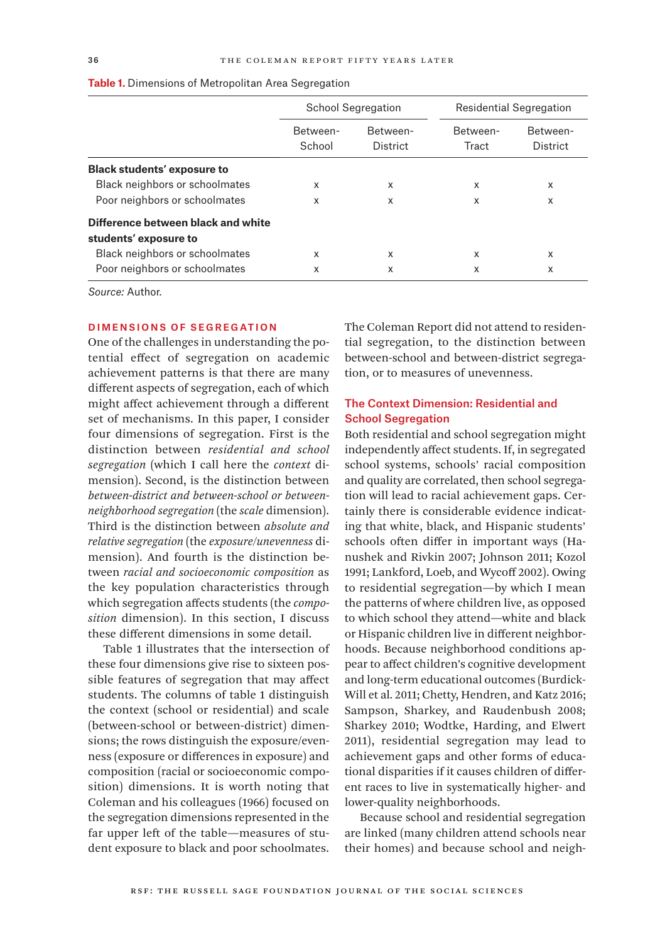|                                    |                    | <b>School Segregation</b> | Residential Segregation |                      |  |  |
|------------------------------------|--------------------|---------------------------|-------------------------|----------------------|--|--|
|                                    | Between-<br>School | Between-<br>District      | Between-<br>Tract       | Between-<br>District |  |  |
| <b>Black students' exposure to</b> |                    |                           |                         |                      |  |  |
| Black neighbors or schoolmates     | X                  | X                         | X                       | x                    |  |  |
| Poor neighbors or schoolmates      | x                  | X                         | x                       | x                    |  |  |
| Difference between black and white |                    |                           |                         |                      |  |  |
| students' exposure to              |                    |                           |                         |                      |  |  |
| Black neighbors or schoolmates     | x                  | X                         | x                       | x                    |  |  |
| Poor neighbors or schoolmates      | X                  | X                         | x                       | x                    |  |  |

**Table 1.** Dimensions of Metropolitan Area Segregation

*Source:* Author.

# Dimensions of Segregation

One of the challenges in understanding the potential effect of segregation on academic achievement patterns is that there are many different aspects of segregation, each of which might affect achievement through a different set of mechanisms. In this paper, I consider four dimensions of segregation. First is the distinction between *residential and school segregation* (which I call here the *context* dimension). Second, is the distinction between *between-district and between-school or betweenneighborhood segregation* (the *scale* dimension). Third is the distinction between *absolute and relative segregation* (the *exposure/unevenness* dimension). And fourth is the distinction between *racial and socioeconomic composition* as the key population characteristics through which segregation affects students (the *composition* dimension). In this section, I discuss these different dimensions in some detail.

Table 1 illustrates that the intersection of these four dimensions give rise to sixteen possible features of segregation that may affect students. The columns of table 1 distinguish the context (school or residential) and scale (between-school or between-district) dimensions; the rows distinguish the exposure/evenness (exposure or differences in exposure) and composition (racial or socioeconomic composition) dimensions. It is worth noting that Coleman and his colleagues (1966) focused on the segregation dimensions represented in the far upper left of the table—measures of student exposure to black and poor schoolmates.

The Coleman Report did not attend to residential segregation, to the distinction between between-school and between-district segregation, or to measures of unevenness.

# The Context Dimension: Residential and **School Segregation**

Both residential and school segregation might independently affect students. If, in segregated school systems, schools' racial composition and quality are correlated, then school segregation will lead to racial achievement gaps. Certainly there is considerable evidence indicating that white, black, and Hispanic students' schools often differ in important ways (Hanushek and Rivkin 2007; Johnson 2011; Kozol 1991; Lankford, Loeb, and Wycoff 2002). Owing to residential segregation—by which I mean the patterns of where children live, as opposed to which school they attend—white and black or Hispanic children live in different neighborhoods. Because neighborhood conditions appear to affect children's cognitive development and long-term educational outcomes (Burdick-Will et al. 2011; Chetty, Hendren, and Katz 2016; Sampson, Sharkey, and Raudenbush 2008; Sharkey 2010; Wodtke, Harding, and Elwert 2011), residential segregation may lead to achievement gaps and other forms of educational disparities if it causes children of different races to live in systematically higher- and lower-quality neighborhoods.

Because school and residential segregation are linked (many children attend schools near their homes) and because school and neigh-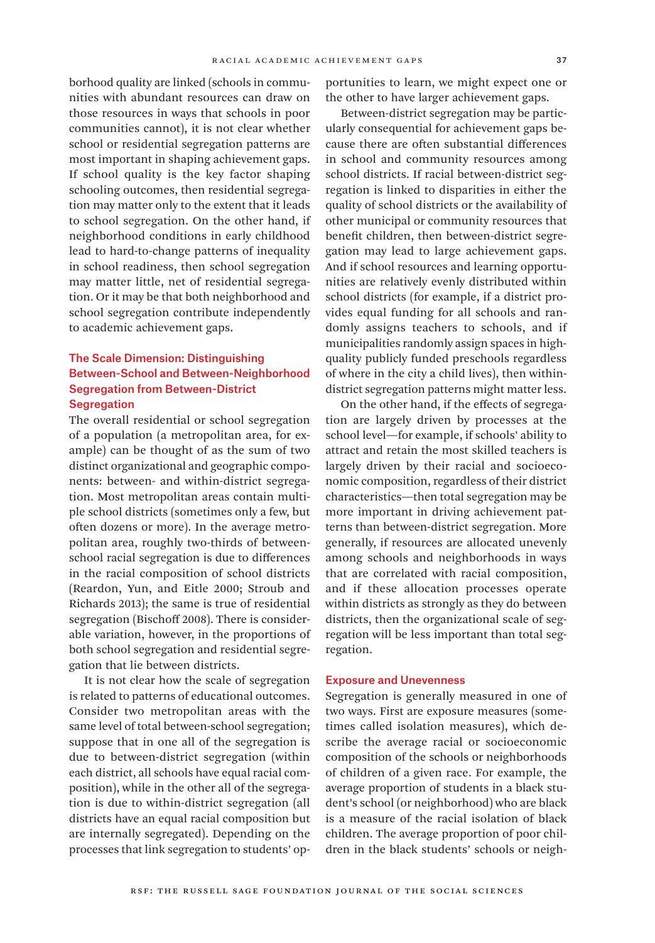borhood quality are linked (schools in communities with abundant resources can draw on those resources in ways that schools in poor communities cannot), it is not clear whether school or residential segregation patterns are most important in shaping achievement gaps. If school quality is the key factor shaping schooling outcomes, then residential segregation may matter only to the extent that it leads to school segregation. On the other hand, if neighborhood conditions in early childhood lead to hard-to-change patterns of inequality in school readiness, then school segregation may matter little, net of residential segregation. Or it may be that both neighborhood and school segregation contribute independently to academic achievement gaps.

# The Scale Dimension: Distinguishing Between-School and Between-Neighborhood Segregation from Between-District **Segregation**

The overall residential or school segregation of a population (a metropolitan area, for example) can be thought of as the sum of two distinct organizational and geographic components: between- and within-district segregation. Most metropolitan areas contain multiple school districts (sometimes only a few, but often dozens or more). In the average metropolitan area, roughly two-thirds of betweenschool racial segregation is due to differences in the racial composition of school districts (Reardon, Yun, and Eitle 2000; Stroub and Richards 2013); the same is true of residential segregation (Bischoff 2008). There is considerable variation, however, in the proportions of both school segregation and residential segregation that lie between districts.

It is not clear how the scale of segregation is related to patterns of educational outcomes. Consider two metropolitan areas with the same level of total between-school segregation; suppose that in one all of the segregation is due to between-district segregation (within each district, all schools have equal racial composition), while in the other all of the segregation is due to within-district segregation (all districts have an equal racial composition but are internally segregated). Depending on the processes that link segregation to students' opportunities to learn, we might expect one or the other to have larger achievement gaps.

Between-district segregation may be particularly consequential for achievement gaps because there are often substantial differences in school and community resources among school districts. If racial between-district segregation is linked to disparities in either the quality of school districts or the availability of other municipal or community resources that benefit children, then between-district segregation may lead to large achievement gaps. And if school resources and learning opportunities are relatively evenly distributed within school districts (for example, if a district provides equal funding for all schools and randomly assigns teachers to schools, and if municipalities randomly assign spaces in highquality publicly funded preschools regardless of where in the city a child lives), then withindistrict segregation patterns might matter less.

On the other hand, if the effects of segregation are largely driven by processes at the school level—for example, if schools' ability to attract and retain the most skilled teachers is largely driven by their racial and socioeconomic composition, regardless of their district characteristics—then total segregation may be more important in driving achievement patterns than between-district segregation. More generally, if resources are allocated unevenly among schools and neighborhoods in ways that are correlated with racial composition, and if these allocation processes operate within districts as strongly as they do between districts, then the organizational scale of segregation will be less important than total segregation.

#### Exposure and Unevenness

Segregation is generally measured in one of two ways. First are exposure measures (sometimes called isolation measures), which describe the average racial or socioeconomic composition of the schools or neighborhoods of children of a given race. For example, the average proportion of students in a black student's school (or neighborhood) who are black is a measure of the racial isolation of black children. The average proportion of poor children in the black students' schools or neigh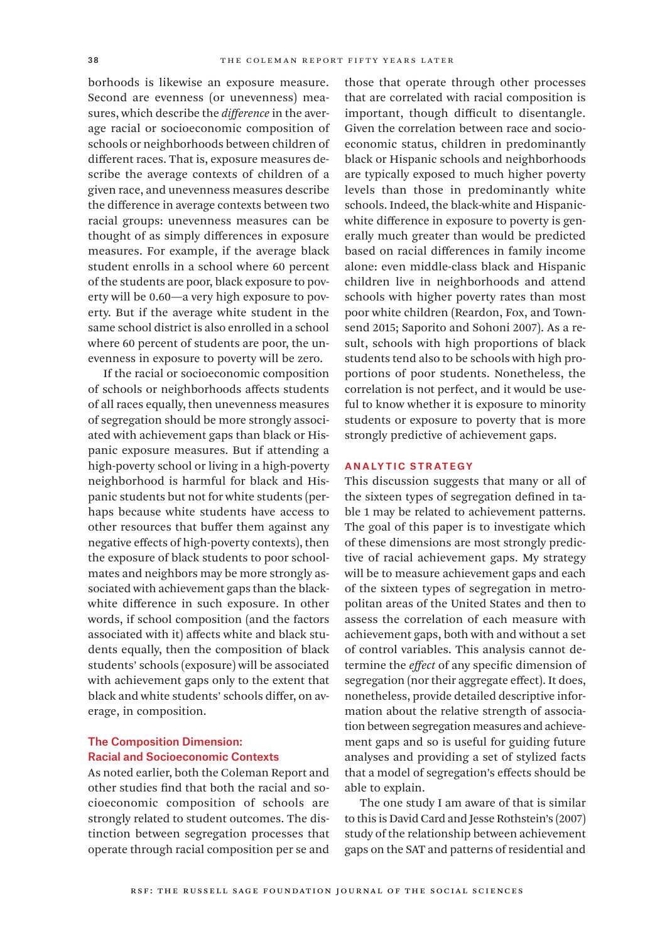borhoods is likewise an exposure measure. Second are evenness (or unevenness) measures, which describe the *difference* in the average racial or socioeconomic composition of schools or neighborhoods between children of different races. That is, exposure measures describe the average contexts of children of a given race, and unevenness measures describe the difference in average contexts between two racial groups: unevenness measures can be thought of as simply differences in exposure measures. For example, if the average black student enrolls in a school where 60 percent of the students are poor, black exposure to poverty will be 0.60—a very high exposure to poverty. But if the average white student in the same school district is also enrolled in a school where 60 percent of students are poor, the unevenness in exposure to poverty will be zero.

If the racial or socioeconomic composition of schools or neighborhoods affects students of all races equally, then unevenness measures of segregation should be more strongly associated with achievement gaps than black or Hispanic exposure measures. But if attending a high-poverty school or living in a high-poverty neighborhood is harmful for black and Hispanic students but not for white students (perhaps because white students have access to other resources that buffer them against any negative effects of high-poverty contexts), then the exposure of black students to poor schoolmates and neighbors may be more strongly associated with achievement gaps than the blackwhite difference in such exposure. In other words, if school composition (and the factors associated with it) affects white and black students equally, then the composition of black students' schools (exposure) will be associated with achievement gaps only to the extent that black and white students' schools differ, on average, in composition.

#### The Composition Dimension: Racial and Socioeconomic Contexts

As noted earlier, both the Coleman Report and other studies find that both the racial and socioeconomic composition of schools are strongly related to student outcomes. The distinction between segregation processes that operate through racial composition per se and

those that operate through other processes that are correlated with racial composition is important, though difficult to disentangle. Given the correlation between race and socioeconomic status, children in predominantly black or Hispanic schools and neighborhoods are typically exposed to much higher poverty levels than those in predominantly white schools. Indeed, the black-white and Hispanicwhite difference in exposure to poverty is generally much greater than would be predicted based on racial differences in family income alone: even middle-class black and Hispanic children live in neighborhoods and attend schools with higher poverty rates than most poor white children (Reardon, Fox, and Townsend 2015; Saporito and Sohoni 2007). As a result, schools with high proportions of black students tend also to be schools with high proportions of poor students. Nonetheless, the correlation is not perfect, and it would be useful to know whether it is exposure to minority students or exposure to poverty that is more strongly predictive of achievement gaps.

#### **ANALYTIC STRATEGY**

This discussion suggests that many or all of the sixteen types of segregation defined in table 1 may be related to achievement patterns. The goal of this paper is to investigate which of these dimensions are most strongly predictive of racial achievement gaps. My strategy will be to measure achievement gaps and each of the sixteen types of segregation in metropolitan areas of the United States and then to assess the correlation of each measure with achievement gaps, both with and without a set of control variables. This analysis cannot determine the *effect* of any specific dimension of segregation (nor their aggregate effect). It does, nonetheless, provide detailed descriptive information about the relative strength of association between segregation measures and achievement gaps and so is useful for guiding future analyses and providing a set of stylized facts that a model of segregation's effects should be able to explain.

The one study I am aware of that is similar to this is David Card and Jesse Rothstein's (2007) study of the relationship between achievement gaps on the SAT and patterns of residential and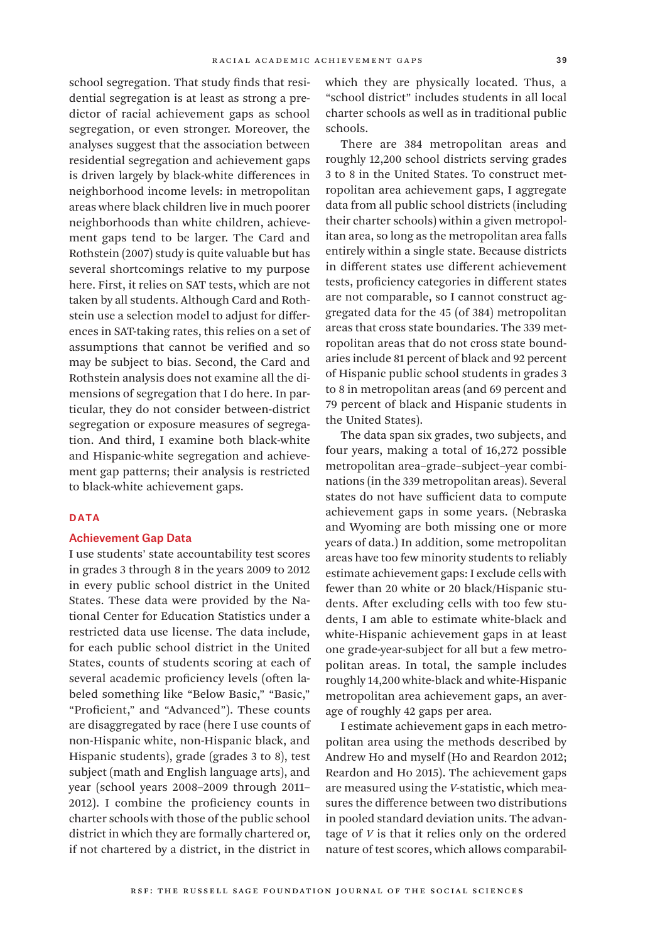school segregation. That study finds that residential segregation is at least as strong a predictor of racial achievement gaps as school segregation, or even stronger. Moreover, the analyses suggest that the association between residential segregation and achievement gaps is driven largely by black-white differences in neighborhood income levels: in metropolitan areas where black children live in much poorer neighborhoods than white children, achievement gaps tend to be larger. The Card and Rothstein (2007) study is quite valuable but has several shortcomings relative to my purpose here. First, it relies on SAT tests, which are not taken by all students. Although Card and Rothstein use a selection model to adjust for differences in SAT-taking rates, this relies on a set of assumptions that cannot be verified and so may be subject to bias. Second, the Card and Rothstein analysis does not examine all the dimensions of segregation that I do here. In particular, they do not consider between-district segregation or exposure measures of segregation. And third, I examine both black-white and Hispanic-white segregation and achievement gap patterns; their analysis is restricted to black-white achievement gaps.

## DATA

#### Achievement Gap Data

I use students' state accountability test scores in grades 3 through 8 in the years 2009 to 2012 in every public school district in the United States. These data were provided by the National Center for Education Statistics under a restricted data use license. The data include, for each public school district in the United States, counts of students scoring at each of several academic proficiency levels (often labeled something like "Below Basic," "Basic," "Proficient," and "Advanced"). These counts are disaggregated by race (here I use counts of non-Hispanic white, non-Hispanic black, and Hispanic students), grade (grades 3 to 8), test subject (math and English language arts), and year (school years 2008–2009 through 2011– 2012). I combine the proficiency counts in charter schools with those of the public school district in which they are formally chartered or, if not chartered by a district, in the district in

which they are physically located. Thus, a "school district" includes students in all local charter schools as well as in traditional public schools.

There are 384 metropolitan areas and roughly 12,200 school districts serving grades 3 to 8 in the United States. To construct metropolitan area achievement gaps, I aggregate data from all public school districts (including their charter schools) within a given metropolitan area, so long as the metropolitan area falls entirely within a single state. Because districts in different states use different achievement tests, proficiency categories in different states are not comparable, so I cannot construct aggregated data for the 45 (of 384) metropolitan areas that cross state boundaries. The 339 metropolitan areas that do not cross state boundaries include 81 percent of black and 92 percent of Hispanic public school students in grades 3 to 8 in metropolitan areas (and 69 percent and 79 percent of black and Hispanic students in the United States).

The data span six grades, two subjects, and four years, making a total of 16,272 possible metropolitan area–grade–subject–year combinations (in the 339 metropolitan areas). Several states do not have sufficient data to compute achievement gaps in some years. (Nebraska and Wyoming are both missing one or more years of data.) In addition, some metropolitan areas have too few minority students to reliably estimate achievement gaps: I exclude cells with fewer than 20 white or 20 black/Hispanic students. After excluding cells with too few students, I am able to estimate white-black and white-Hispanic achievement gaps in at least one grade-year-subject for all but a few metropolitan areas. In total, the sample includes roughly 14,200 white-black and white-Hispanic metropolitan area achievement gaps, an average of roughly 42 gaps per area.

I estimate achievement gaps in each metropolitan area using the methods described by Andrew Ho and myself (Ho and Reardon 2012; Reardon and Ho 2015). The achievement gaps are measured using the *V*-statistic, which measures the difference between two distributions in pooled standard deviation units. The advantage of *V* is that it relies only on the ordered nature of test scores, which allows comparabil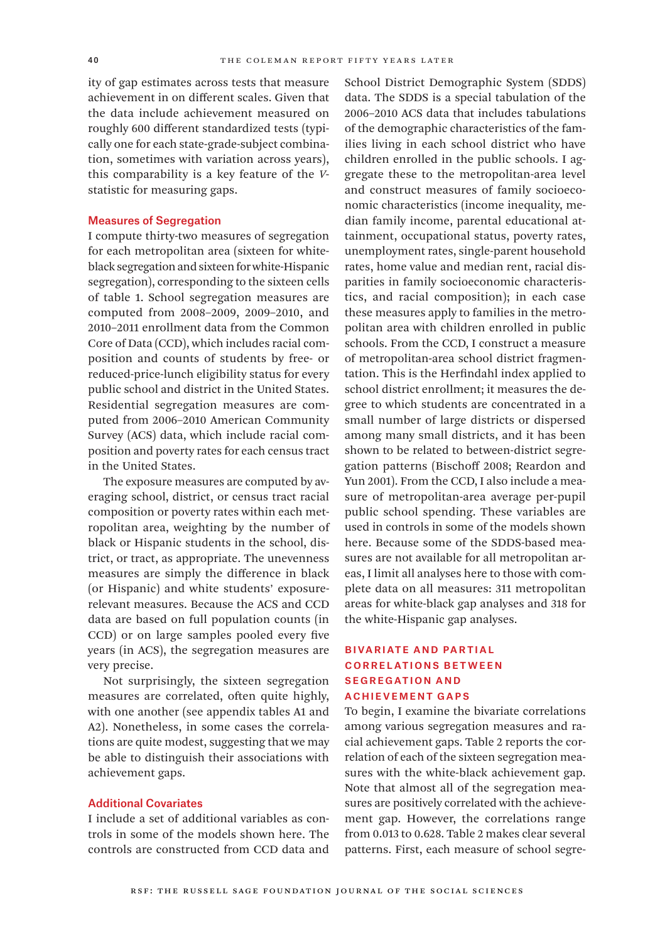ity of gap estimates across tests that measure achievement in on different scales. Given that the data include achievement measured on roughly 600 different standardized tests (typically one for each state-grade-subject combination, sometimes with variation across years), this comparability is a key feature of the *V*statistic for measuring gaps.

#### Measures of Segregation

I compute thirty-two measures of segregation for each metropolitan area (sixteen for whiteblack segregation and sixteen for white-Hispanic segregation), corresponding to the sixteen cells of table 1. School segregation measures are computed from 2008–2009, 2009–2010, and 2010–2011 enrollment data from the Common Core of Data (CCD), which includes racial composition and counts of students by free- or reduced-price-lunch eligibility status for every public school and district in the United States. Residential segregation measures are computed from 2006–2010 American Community Survey (ACS) data, which include racial composition and poverty rates for each census tract in the United States.

The exposure measures are computed by averaging school, district, or census tract racial composition or poverty rates within each metropolitan area, weighting by the number of black or Hispanic students in the school, district, or tract, as appropriate. The unevenness measures are simply the difference in black (or Hispanic) and white students' exposurerelevant measures. Because the ACS and CCD data are based on full population counts (in CCD) or on large samples pooled every five years (in ACS), the segregation measures are very precise.

Not surprisingly, the sixteen segregation measures are correlated, often quite highly, with one another (see appendix tables A1 and A2). Nonetheless, in some cases the correlations are quite modest, suggesting that we may be able to distinguish their associations with achievement gaps.

#### Additional Covariates

I include a set of additional variables as controls in some of the models shown here. The controls are constructed from CCD data and School District Demographic System (SDDS) data. The SDDS is a special tabulation of the 2006–2010 ACS data that includes tabulations of the demographic characteristics of the families living in each school district who have children enrolled in the public schools. I aggregate these to the metropolitan-area level and construct measures of family socioeconomic characteristics (income inequality, median family income, parental educational attainment, occupational status, poverty rates, unemployment rates, single-parent household rates, home value and median rent, racial disparities in family socioeconomic characteristics, and racial composition); in each case these measures apply to families in the metropolitan area with children enrolled in public schools. From the CCD, I construct a measure of metropolitan-area school district fragmentation. This is the Herfindahl index applied to school district enrollment; it measures the degree to which students are concentrated in a small number of large districts or dispersed among many small districts, and it has been shown to be related to between-district segregation patterns (Bischoff 2008; Reardon and Yun 2001). From the CCD, I also include a measure of metropolitan-area average per-pupil public school spending. These variables are used in controls in some of the models shown here. Because some of the SDDS-based measures are not available for all metropolitan areas, I limit all analyses here to those with complete data on all measures: 311 metropolitan areas for white-black gap analyses and 318 for the white-Hispanic gap analyses.

# Bivariate and Partial Correlations Betw een Segregation and Achievement Gaps

To begin, I examine the bivariate correlations among various segregation measures and racial achievement gaps. Table 2 reports the correlation of each of the sixteen segregation measures with the white-black achievement gap. Note that almost all of the segregation measures are positively correlated with the achievement gap. However, the correlations range from 0.013 to 0.628. Table 2 makes clear several patterns. First, each measure of school segre-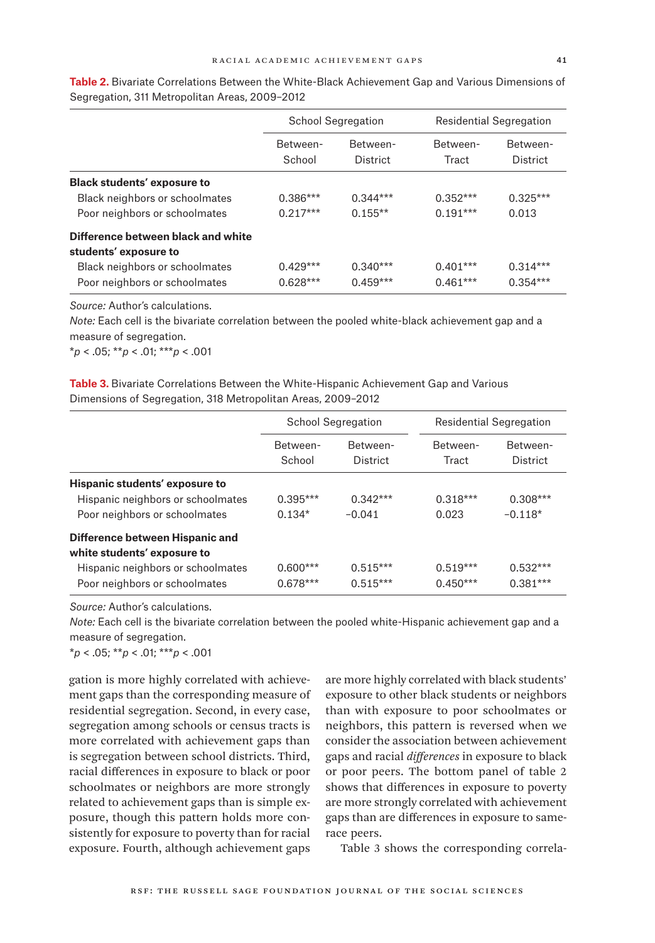|                                    |                    | <b>School Segregation</b> | <b>Residential Segregation</b> |                      |  |  |
|------------------------------------|--------------------|---------------------------|--------------------------------|----------------------|--|--|
|                                    | Between-<br>School | Between-<br>District      | Between-<br>Tract              | Between-<br>District |  |  |
| <b>Black students' exposure to</b> |                    |                           |                                |                      |  |  |
| Black neighbors or schoolmates     | $0.386***$         | $0.344***$                | $0.352***$                     | $0.325***$           |  |  |
| Poor neighbors or schoolmates      | $0.217***$         | $0.155**$                 | $0.191***$                     | 0.013                |  |  |
| Difference between black and white |                    |                           |                                |                      |  |  |
| students' exposure to              |                    |                           |                                |                      |  |  |
| Black neighbors or schoolmates     | $0.429***$         | $0.340***$                | $0.401***$                     | $0.314***$           |  |  |
| Poor neighbors or schoolmates      | $0.628***$         | $0.459***$                | $0.461***$                     | $0.354***$           |  |  |

**Table 2.** Bivariate Correlations Between the White-Black Achievement Gap and Various Dimensions of Segregation, 311 Metropolitan Areas, 2009–2012

*Source:* Author's calculations.

*Note:* Each cell is the bivariate correlation between the pooled white-black achievement gap and a measure of segregation.

\**p* < .05; \*\**p* < .01; \*\*\**p* < .001

**Table 3.** Bivariate Correlations Between the White-Hispanic Achievement Gap and Various Dimensions of Segregation, 318 Metropolitan Areas, 2009–2012

|                                                                                                                                      |                          | <b>School Segregation</b> | Residential Segregation  |                          |  |  |
|--------------------------------------------------------------------------------------------------------------------------------------|--------------------------|---------------------------|--------------------------|--------------------------|--|--|
|                                                                                                                                      | Between-<br>School       | Between-<br>District      | Between-<br>Tract        | Between-<br>District     |  |  |
| Hispanic students' exposure to<br>Hispanic neighbors or schoolmates<br>Poor neighbors or schoolmates                                 | $0.395***$<br>$0.134*$   | $0.342***$<br>$-0.041$    |                          | $0.308***$<br>$-0.118*$  |  |  |
| Difference between Hispanic and<br>white students' exposure to<br>Hispanic neighbors or schoolmates<br>Poor neighbors or schoolmates | $0.600***$<br>$0.678***$ | $0.515***$<br>$0.515***$  | $0.519***$<br>$0.450***$ | $0.532***$<br>$0.381***$ |  |  |

*Source:* Author's calculations.

*Note:* Each cell is the bivariate correlation between the pooled white-Hispanic achievement gap and a measure of segregation.

\**p* < .05; \*\**p* < .01; \*\*\**p* < .001

gation is more highly correlated with achievement gaps than the corresponding measure of residential segregation. Second, in every case, segregation among schools or census tracts is more correlated with achievement gaps than is segregation between school districts. Third, racial differences in exposure to black or poor schoolmates or neighbors are more strongly related to achievement gaps than is simple exposure, though this pattern holds more consistently for exposure to poverty than for racial exposure. Fourth, although achievement gaps

are more highly correlated with black students' exposure to other black students or neighbors than with exposure to poor schoolmates or neighbors, this pattern is reversed when we consider the association between achievement gaps and racial *differences* in exposure to black or poor peers. The bottom panel of table 2 shows that differences in exposure to poverty are more strongly correlated with achievement gaps than are differences in exposure to samerace peers.

Table 3 shows the corresponding correla-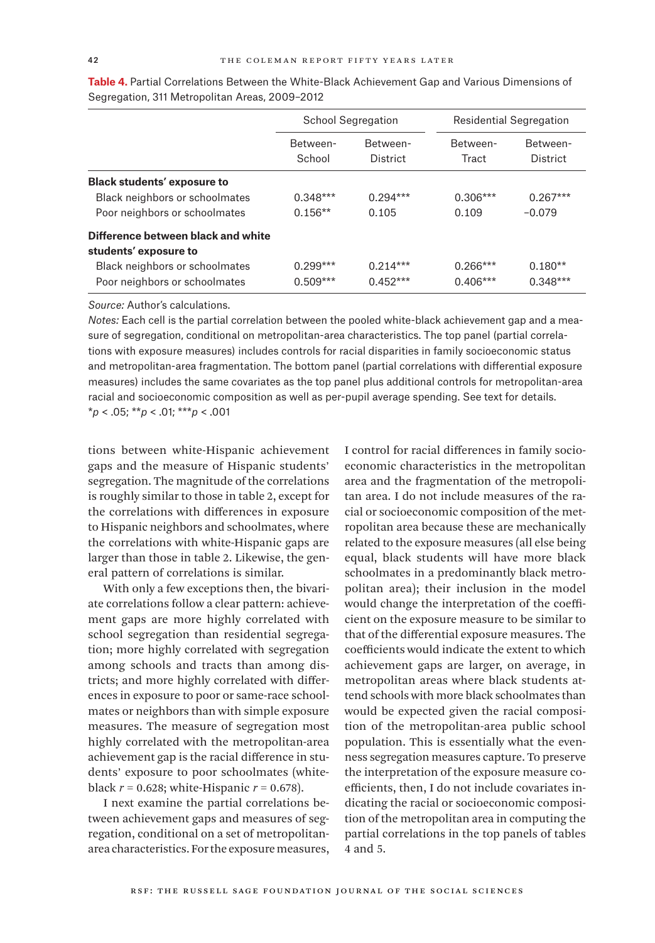|                                    |                    | <b>School Segregation</b> |                   | Residential Segregation |
|------------------------------------|--------------------|---------------------------|-------------------|-------------------------|
|                                    | Between-<br>School | Between-<br>District      | Between-<br>Tract | Between-<br>District    |
| <b>Black students' exposure to</b> |                    |                           |                   |                         |
| Black neighbors or schoolmates     | $0.348***$         | $0.294***$                | $0.306***$        | $0.267***$              |
| Poor neighbors or schoolmates      | $0.156**$          | 0.105                     | 0.109             | $-0.079$                |
| Difference between black and white |                    |                           |                   |                         |
| students' exposure to              |                    |                           |                   |                         |
| Black neighbors or schoolmates     | $0.299***$         | $0.214***$                | $0.266***$        | $0.180**$               |
| Poor neighbors or schoolmates      | $0.509***$         | $0.452***$                | $0.406***$        | $0.348***$              |

**Table 4.** Partial Correlations Between the White-Black Achievement Gap and Various Dimensions of Segregation, 311 Metropolitan Areas, 2009–2012

*Source:* Author's calculations.

*Notes:* Each cell is the partial correlation between the pooled white-black achievement gap and a measure of segregation, conditional on metropolitan-area characteristics. The top panel (partial correlations with exposure measures) includes controls for racial disparities in family socioeconomic status and metropolitan-area fragmentation. The bottom panel (partial correlations with differential exposure measures) includes the same covariates as the top panel plus additional controls for metropolitan-area racial and socioeconomic composition as well as per-pupil average spending. See text for details. \**p* < .05; \*\**p* < .01; \*\*\**p* < .001

tions between white-Hispanic achievement gaps and the measure of Hispanic students' segregation. The magnitude of the correlations is roughly similar to those in table 2, except for the correlations with differences in exposure to Hispanic neighbors and schoolmates, where the correlations with white-Hispanic gaps are larger than those in table 2. Likewise, the general pattern of correlations is similar.

With only a few exceptions then, the bivariate correlations follow a clear pattern: achievement gaps are more highly correlated with school segregation than residential segregation; more highly correlated with segregation among schools and tracts than among districts; and more highly correlated with differences in exposure to poor or same-race schoolmates or neighbors than with simple exposure measures. The measure of segregation most highly correlated with the metropolitan-area achievement gap is the racial difference in students' exposure to poor schoolmates (whiteblack  $r = 0.628$ ; white-Hispanic  $r = 0.678$ ).

I next examine the partial correlations between achievement gaps and measures of segregation, conditional on a set of metropolitanarea characteristics. For the exposure measures,

I control for racial differences in family socioeconomic characteristics in the metropolitan area and the fragmentation of the metropolitan area. I do not include measures of the racial or socioeconomic composition of the metropolitan area because these are mechanically related to the exposure measures (all else being equal, black students will have more black schoolmates in a predominantly black metropolitan area); their inclusion in the model would change the interpretation of the coefficient on the exposure measure to be similar to that of the differential exposure measures. The coefficients would indicate the extent to which achievement gaps are larger, on average, in metropolitan areas where black students attend schools with more black schoolmates than would be expected given the racial composition of the metropolitan-area public school population. This is essentially what the evenness segregation measures capture. To preserve the interpretation of the exposure measure coefficients, then, I do not include covariates indicating the racial or socioeconomic composition of the metropolitan area in computing the partial correlations in the top panels of tables 4 and 5.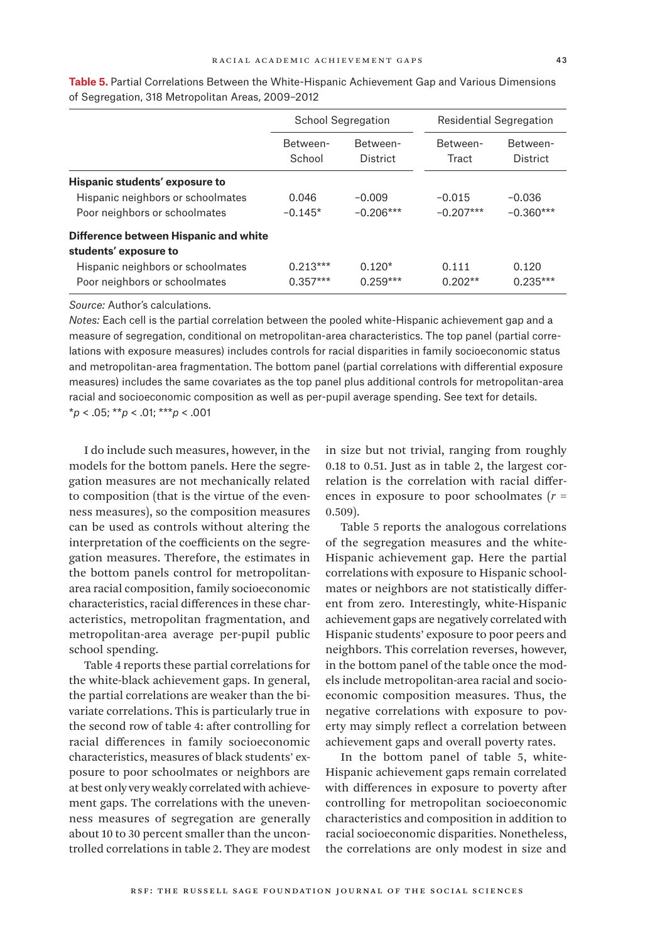|                                       | <b>School Segregation</b> | Residential Segregation |                   |                      |
|---------------------------------------|---------------------------|-------------------------|-------------------|----------------------|
|                                       | Between-<br>School        | Between-<br>District    | Between-<br>Tract | Between-<br>District |
| <b>Hispanic students' exposure to</b> |                           |                         |                   |                      |
| Hispanic neighbors or schoolmates     | 0.046                     | $-0.009$                | $-0.015$          | $-0.036$             |
| Poor neighbors or schoolmates         | $-0.145*$                 | $-0.206***$             | $-0.207***$       | $-0.360***$          |
| Difference between Hispanic and white |                           |                         |                   |                      |
| students' exposure to                 |                           |                         |                   |                      |
| Hispanic neighbors or schoolmates     | $0.213***$                | $0.120*$                | 0.111             | 0.120                |
| Poor neighbors or schoolmates         | $0.357***$                | $0.259***$              | $0.202**$         | $0.235***$           |

**Table 5.** Partial Correlations Between the White-Hispanic Achievement Gap and Various Dimensions of Segregation, 318 Metropolitan Areas, 2009–2012

*Source:* Author's calculations.

*Notes:* Each cell is the partial correlation between the pooled white-Hispanic achievement gap and a measure of segregation, conditional on metropolitan-area characteristics. The top panel (partial correlations with exposure measures) includes controls for racial disparities in family socioeconomic status and metropolitan-area fragmentation. The bottom panel (partial correlations with differential exposure measures) includes the same covariates as the top panel plus additional controls for metropolitan-area racial and socioeconomic composition as well as per-pupil average spending. See text for details. \**p* < .05; \*\**p* < .01; \*\*\**p* < .001

I do include such measures, however, in the models for the bottom panels. Here the segregation measures are not mechanically related to composition (that is the virtue of the evenness measures), so the composition measures can be used as controls without altering the interpretation of the coefficients on the segregation measures. Therefore, the estimates in the bottom panels control for metropolitanarea racial composition, family socioeconomic characteristics, racial differences in these characteristics, metropolitan fragmentation, and metropolitan-area average per-pupil public school spending.

Table 4 reports these partial correlations for the white-black achievement gaps. In general, the partial correlations are weaker than the bivariate correlations. This is particularly true in the second row of table 4: after controlling for racial differences in family socioeconomic characteristics, measures of black students' exposure to poor schoolmates or neighbors are at best only very weakly correlated with achievement gaps. The correlations with the unevenness measures of segregation are generally about 10 to 30 percent smaller than the uncontrolled correlations in table 2. They are modest in size but not trivial, ranging from roughly 0.18 to 0.51. Just as in table 2, the largest correlation is the correlation with racial differences in exposure to poor schoolmates (*r* = 0.509).

Table 5 reports the analogous correlations of the segregation measures and the white-Hispanic achievement gap. Here the partial correlations with exposure to Hispanic schoolmates or neighbors are not statistically different from zero. Interestingly, white-Hispanic achievement gaps are negatively correlated with Hispanic students' exposure to poor peers and neighbors. This correlation reverses, however, in the bottom panel of the table once the models include metropolitan-area racial and socioeconomic composition measures. Thus, the negative correlations with exposure to poverty may simply reflect a correlation between achievement gaps and overall poverty rates.

In the bottom panel of table 5, white-Hispanic achievement gaps remain correlated with differences in exposure to poverty after controlling for metropolitan socioeconomic characteristics and composition in addition to racial socioeconomic disparities. Nonetheless, the correlations are only modest in size and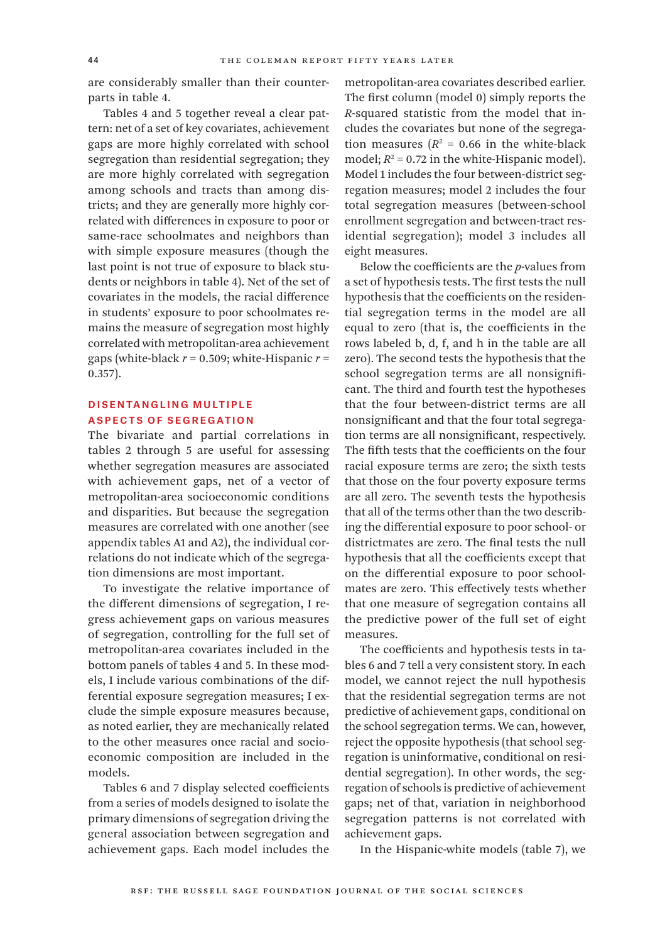are considerably smaller than their counterparts in table 4.

Tables 4 and 5 together reveal a clear pattern: net of a set of key covariates, achievement gaps are more highly correlated with school segregation than residential segregation; they are more highly correlated with segregation among schools and tracts than among districts; and they are generally more highly correlated with differences in exposure to poor or same-race schoolmates and neighbors than with simple exposure measures (though the last point is not true of exposure to black students or neighbors in table 4). Net of the set of covariates in the models, the racial difference in students' exposure to poor schoolmates remains the measure of segregation most highly correlated with metropolitan-area achievement gaps (white-black *r* = 0.509; white-Hispanic *r* = 0.357).

# DISENTANGLING MULTIPLE Aspects of Segregation

The bivariate and partial correlations in tables 2 through 5 are useful for assessing whether segregation measures are associated with achievement gaps, net of a vector of metropolitan-area socioeconomic conditions and disparities. But because the segregation measures are correlated with one another (see appendix tables A1 and A2), the individual correlations do not indicate which of the segregation dimensions are most important.

To investigate the relative importance of the different dimensions of segregation, I regress achievement gaps on various measures of segregation, controlling for the full set of metropolitan-area covariates included in the bottom panels of tables 4 and 5. In these models, I include various combinations of the differential exposure segregation measures; I exclude the simple exposure measures because, as noted earlier, they are mechanically related to the other measures once racial and socioeconomic composition are included in the models.

Tables 6 and 7 display selected coefficients from a series of models designed to isolate the primary dimensions of segregation driving the general association between segregation and achievement gaps. Each model includes the metropolitan-area covariates described earlier. The first column (model 0) simply reports the *R*-squared statistic from the model that includes the covariates but none of the segregation measures  $(R^2 = 0.66$  in the white-black model;  $R^2 = 0.72$  in the white-Hispanic model). Model 1 includes the four between-district segregation measures; model 2 includes the four total segregation measures (between-school enrollment segregation and between-tract residential segregation); model 3 includes all eight measures.

Below the coefficients are the *p*-values from a set of hypothesis tests. The first tests the null hypothesis that the coefficients on the residential segregation terms in the model are all equal to zero (that is, the coefficients in the rows labeled b, d, f, and h in the table are all zero). The second tests the hypothesis that the school segregation terms are all nonsignificant. The third and fourth test the hypotheses that the four between-district terms are all nonsignificant and that the four total segregation terms are all nonsignificant, respectively. The fifth tests that the coefficients on the four racial exposure terms are zero; the sixth tests that those on the four poverty exposure terms are all zero. The seventh tests the hypothesis that all of the terms other than the two describing the differential exposure to poor school- or districtmates are zero. The final tests the null hypothesis that all the coefficients except that on the differential exposure to poor schoolmates are zero. This effectively tests whether that one measure of segregation contains all the predictive power of the full set of eight measures.

The coefficients and hypothesis tests in tables 6 and 7 tell a very consistent story. In each model, we cannot reject the null hypothesis that the residential segregation terms are not predictive of achievement gaps, conditional on the school segregation terms. We can, however, reject the opposite hypothesis (that school segregation is uninformative, conditional on residential segregation). In other words, the segregation of schools is predictive of achievement gaps; net of that, variation in neighborhood segregation patterns is not correlated with achievement gaps.

In the Hispanic-white models (table 7), we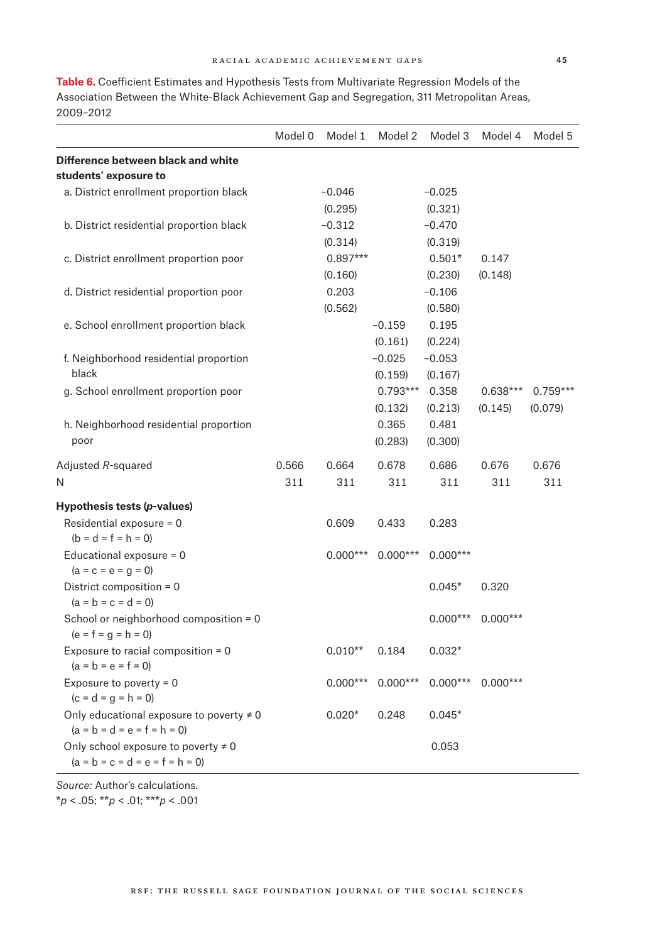|                                                                                | Model 0 | Model 1    | Model 2    | Model 3    | Model 4    | Model 5    |
|--------------------------------------------------------------------------------|---------|------------|------------|------------|------------|------------|
| Difference between black and white<br>students' exposure to                    |         |            |            |            |            |            |
| a. District enrollment proportion black                                        |         | $-0.046$   |            | $-0.025$   |            |            |
|                                                                                |         | (0.295)    |            | (0.321)    |            |            |
| b. District residential proportion black                                       |         | $-0.312$   |            | $-0.470$   |            |            |
|                                                                                |         | (0.314)    |            | (0.319)    |            |            |
| c. District enrollment proportion poor                                         |         | $0.897***$ |            | $0.501*$   | 0.147      |            |
|                                                                                |         | (0.160)    |            | (0.230)    | (0.148)    |            |
| d. District residential proportion poor                                        |         | 0.203      |            | $-0.106$   |            |            |
|                                                                                |         | (0.562)    |            | (0.580)    |            |            |
| e. School enrollment proportion black                                          |         |            | $-0.159$   | 0.195      |            |            |
|                                                                                |         |            | (0.161)    | (0.224)    |            |            |
| f. Neighborhood residential proportion                                         |         |            | $-0.025$   | $-0.053$   |            |            |
| black                                                                          |         |            | (0.159)    | (0.167)    |            |            |
| g. School enrollment proportion poor                                           |         |            | $0.793***$ | 0.358      | $0.638***$ | $0.759***$ |
|                                                                                |         |            | (0.132)    | (0.213)    | (0.145)    | (0.079)    |
| h. Neighborhood residential proportion                                         |         |            | 0.365      | 0.481      |            |            |
| poor                                                                           |         |            | (0.283)    | (0.300)    |            |            |
| Adjusted R-squared                                                             | 0.566   | 0.664      | 0.678      | 0.686      | 0.676      | 0.676      |
| N                                                                              | 311     | 311        | 311        | 311        | 311        | 311        |
| Hypothesis tests (p-values)                                                    |         |            |            |            |            |            |
| Residential exposure = $0$                                                     |         | 0.609      | 0.433      | 0.283      |            |            |
| $(b = d = f = h = 0)$                                                          |         |            |            |            |            |            |
| Educational exposure $= 0$<br>$(a = c = e = g = 0)$                            |         | $0.000***$ | $0.000***$ | $0.000***$ |            |            |
| District composition = 0<br>$(a = b = c = d = 0)$                              |         |            |            | $0.045*$   | 0.320      |            |
| School or neighborhood composition = 0<br>$(e = f = g = h = 0)$                |         |            |            | $0.000***$ | $0.000***$ |            |
| Exposure to racial composition = 0<br>$(a = b = e = f = 0)$                    |         | $0.010**$  | 0.184      | $0.032*$   |            |            |
| Exposure to poverty = $0$<br>$(c = d = g = h = 0)$                             |         | $0.000***$ | $0.000***$ | $0.000***$ | $0.000***$ |            |
| Only educational exposure to poverty $\neq 0$<br>$(a = b = d = e = f = h = 0)$ |         | $0.020*$   | 0.248      | $0.045*$   |            |            |
| Only school exposure to poverty $\neq 0$                                       |         |            |            | 0.053      |            |            |

**Table 6.** Coefficient Estimates and Hypothesis Tests from Multivariate Regression Models of the Association Between the White-Black Achievement Gap and Segregation, 311 Metropolitan Areas, 2009–2012

*Source:* Author's calculations. \**p* < .05; \*\**p* < .01; \*\*\**p* < .001

 $(a = b = c = d = e = f = h = 0)$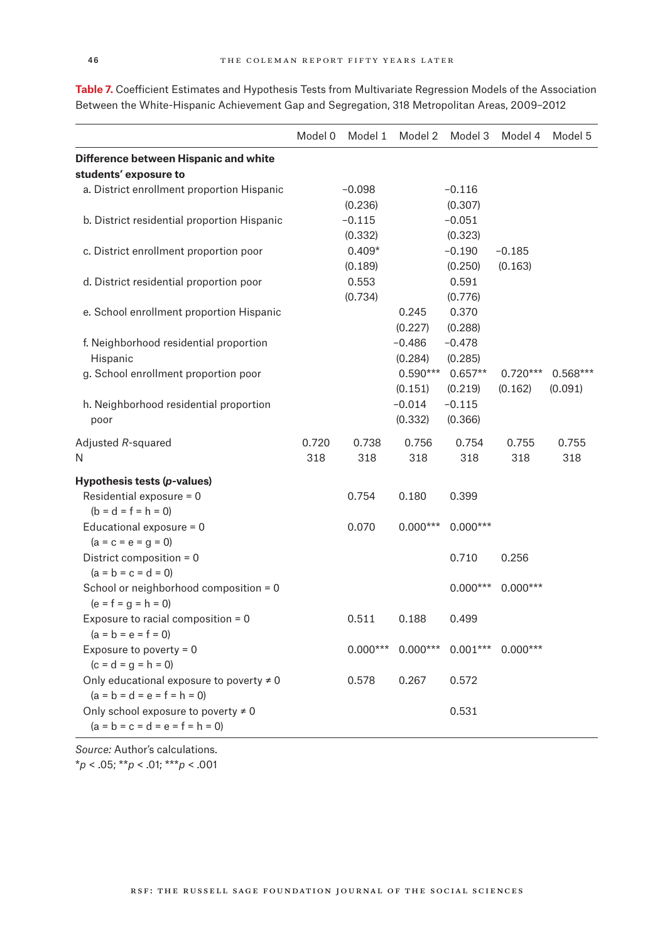|                                               | Model 0 | Model 1    | Model 2    | Model 3    | Model 4    | Model 5    |
|-----------------------------------------------|---------|------------|------------|------------|------------|------------|
| Difference between Hispanic and white         |         |            |            |            |            |            |
| students' exposure to                         |         |            |            |            |            |            |
| a. District enrollment proportion Hispanic    |         | $-0.098$   |            | $-0.116$   |            |            |
|                                               |         | (0.236)    |            | (0.307)    |            |            |
| b. District residential proportion Hispanic   |         | $-0.115$   |            | $-0.051$   |            |            |
|                                               |         | (0.332)    |            | (0.323)    |            |            |
| c. District enrollment proportion poor        |         | $0.409*$   |            | $-0.190$   | $-0.185$   |            |
|                                               |         | (0.189)    |            | (0.250)    | (0.163)    |            |
| d. District residential proportion poor       |         | 0.553      |            | 0.591      |            |            |
|                                               |         | (0.734)    |            | (0.776)    |            |            |
| e. School enrollment proportion Hispanic      |         |            | 0.245      | 0.370      |            |            |
|                                               |         |            | (0.227)    | (0.288)    |            |            |
| f. Neighborhood residential proportion        |         |            | $-0.486$   | $-0.478$   |            |            |
| Hispanic                                      |         |            | (0.284)    | (0.285)    |            |            |
| g. School enrollment proportion poor          |         |            | $0.590***$ | $0.657**$  | $0.720***$ | $0.568***$ |
|                                               |         |            | (0.151)    | (0.219)    | (0.162)    | (0.091)    |
| h. Neighborhood residential proportion        |         |            | $-0.014$   | $-0.115$   |            |            |
| poor                                          |         |            | (0.332)    | (0.366)    |            |            |
| Adjusted R-squared                            | 0.720   | 0.738      | 0.756      | 0.754      | 0.755      | 0.755      |
| Ν                                             | 318     | 318        | 318        | 318        | 318        | 318        |
| Hypothesis tests (p-values)                   |         |            |            |            |            |            |
| Residential exposure = 0                      |         | 0.754      | 0.180      | 0.399      |            |            |
| $(b = d = f = h = 0)$                         |         |            |            |            |            |            |
| Educational exposure = 0                      |         | 0.070      | $0.000***$ | $0.000***$ |            |            |
| $(a = c = e = g = 0)$                         |         |            |            |            |            |            |
| District composition = 0                      |         |            |            | 0.710      | 0.256      |            |
| $(a = b = c = d = 0)$                         |         |            |            |            |            |            |
| School or neighborhood composition = 0        |         |            |            | $0.000***$ | $0.000***$ |            |
| $(e = f = g = h = 0)$                         |         |            |            |            |            |            |
| Exposure to racial composition = 0            |         | 0.511      | 0.188      | 0.499      |            |            |
| $(a = b = e = f = 0)$                         |         |            |            |            |            |            |
| Exposure to poverty = $0$                     |         | $0.000***$ | $0.000***$ | $0.001***$ | $0.000***$ |            |
| $(c = d = g = h = 0)$                         |         |            |            |            |            |            |
| Only educational exposure to poverty $\neq 0$ |         | 0.578      | 0.267      | 0.572      |            |            |
| $(a = b = d = e = f = h = 0)$                 |         |            |            |            |            |            |
| Only school exposure to poverty $\neq 0$      |         |            |            | 0.531      |            |            |
| $(a = b = c = d = e = f = h = 0)$             |         |            |            |            |            |            |

**Table 7.** Coefficient Estimates and Hypothesis Tests from Multivariate Regression Models of the Association Between the White-Hispanic Achievement Gap and Segregation, 318 Metropolitan Areas, 2009–2012

*Source:* Author's calculations. \**p* < .05; \*\**p* < .01; \*\*\**p* < .001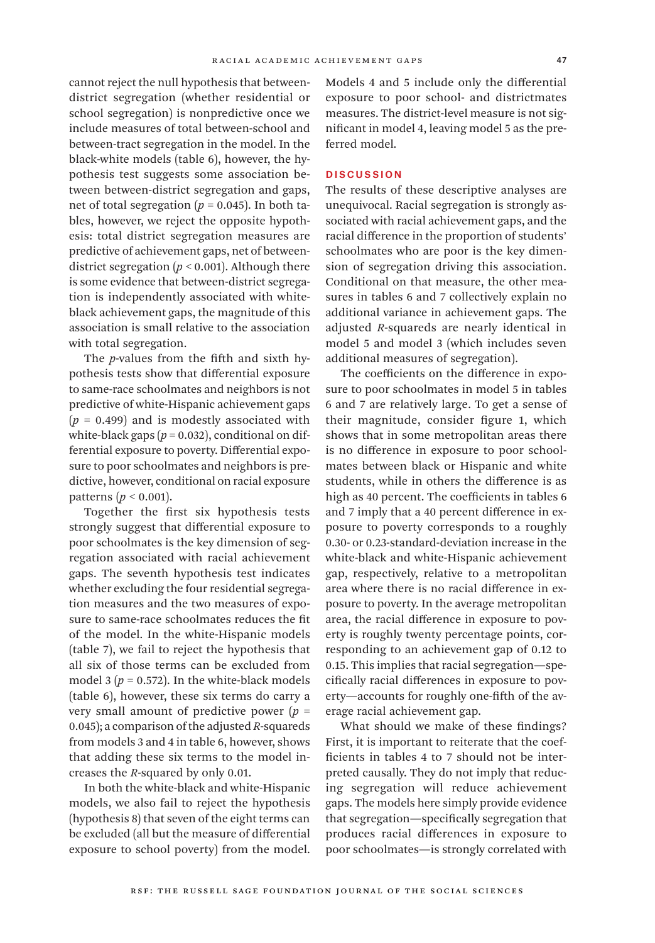cannot reject the null hypothesis that betweendistrict segregation (whether residential or school segregation) is nonpredictive once we include measures of total between-school and between-tract segregation in the model. In the black-white models (table 6), however, the hypothesis test suggests some association between between-district segregation and gaps, net of total segregation ( $p = 0.045$ ). In both tables, however, we reject the opposite hypothesis: total district segregation measures are predictive of achievement gaps, net of betweendistrict segregation  $(p < 0.001)$ . Although there is some evidence that between-district segregation is independently associated with whiteblack achievement gaps, the magnitude of this association is small relative to the association with total segregation.

The *p*-values from the fifth and sixth hypothesis tests show that differential exposure to same-race schoolmates and neighbors is not predictive of white-Hispanic achievement gaps  $(p = 0.499)$  and is modestly associated with white-black gaps  $(p = 0.032)$ , conditional on differential exposure to poverty. Differential exposure to poor schoolmates and neighbors is predictive, however, conditional on racial exposure patterns (*p* < 0.001).

Together the first six hypothesis tests strongly suggest that differential exposure to poor schoolmates is the key dimension of segregation associated with racial achievement gaps. The seventh hypothesis test indicates whether excluding the four residential segregation measures and the two measures of exposure to same-race schoolmates reduces the fit of the model. In the white-Hispanic models (table 7), we fail to reject the hypothesis that all six of those terms can be excluded from model 3 ( $p = 0.572$ ). In the white-black models (table 6), however, these six terms do carry a very small amount of predictive power  $(p =$ 0.045); a comparison of the adjusted *R*-squareds from models 3 and 4 in table 6, however, shows that adding these six terms to the model increases the *R*-squared by only 0.01.

In both the white-black and white-Hispanic models, we also fail to reject the hypothesis (hypothesis 8) that seven of the eight terms can be excluded (all but the measure of differential exposure to school poverty) from the model.

Models 4 and 5 include only the differential exposure to poor school- and districtmates measures. The district-level measure is not significant in model 4, leaving model 5 as the preferred model.

# **DISCUSSION**

The results of these descriptive analyses are unequivocal. Racial segregation is strongly associated with racial achievement gaps, and the racial difference in the proportion of students' schoolmates who are poor is the key dimension of segregation driving this association. Conditional on that measure, the other measures in tables 6 and 7 collectively explain no additional variance in achievement gaps. The adjusted *R*-squareds are nearly identical in model 5 and model 3 (which includes seven additional measures of segregation).

The coefficients on the difference in exposure to poor schoolmates in model 5 in tables 6 and 7 are relatively large. To get a sense of their magnitude, consider figure 1, which shows that in some metropolitan areas there is no difference in exposure to poor schoolmates between black or Hispanic and white students, while in others the difference is as high as 40 percent. The coefficients in tables 6 and 7 imply that a 40 percent difference in exposure to poverty corresponds to a roughly 0.30- or 0.23-standard-deviation increase in the white-black and white-Hispanic achievement gap, respectively, relative to a metropolitan area where there is no racial difference in exposure to poverty. In the average metropolitan area, the racial difference in exposure to poverty is roughly twenty percentage points, corresponding to an achievement gap of 0.12 to 0.15. This implies that racial segregation—specifically racial differences in exposure to poverty—accounts for roughly one-fifth of the average racial achievement gap.

What should we make of these findings? First, it is important to reiterate that the coefficients in tables 4 to 7 should not be interpreted causally. They do not imply that reducing segregation will reduce achievement gaps. The models here simply provide evidence that segregation—specifically segregation that produces racial differences in exposure to poor schoolmates—is strongly correlated with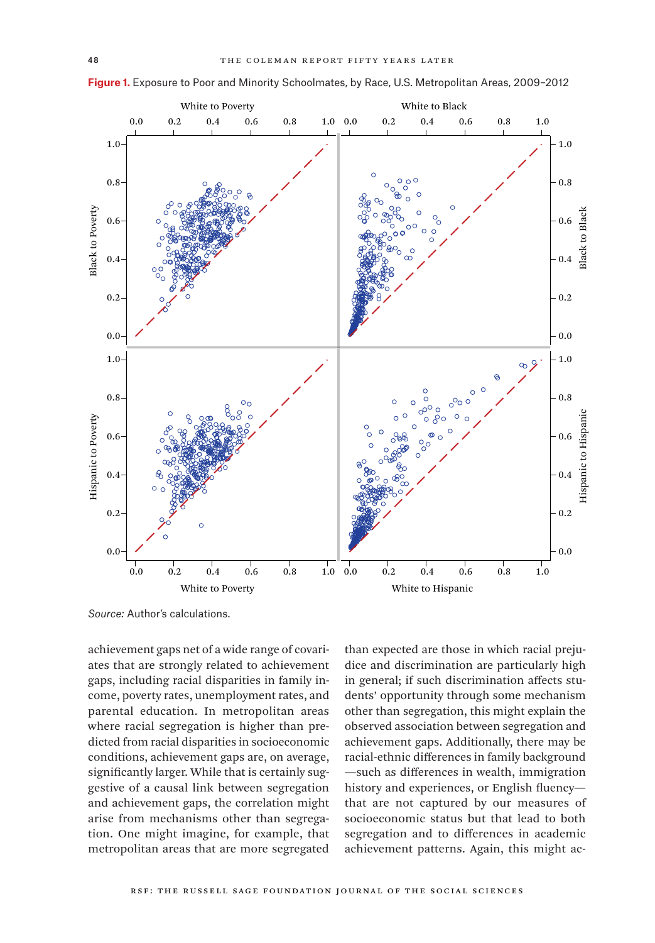

**Figure 1.** Exposure to Poor and Minority Schoolmates, by Race, U.S. Metropolitan Areas, 2009–2012

*Source:* Author's calculations.

achievement gaps net of a wide range of covariates that are strongly related to achievement gaps, including racial disparities in family income, poverty rates, unemployment rates, and parental education. In metropolitan areas where racial segregation is higher than predicted from racial disparities in socioeconomic conditions, achievement gaps are, on average, significantly larger. While that is certainly suggestive of a causal link between segregation and achievement gaps, the correlation might arise from mechanisms other than segregation. One might imagine, for example, that metropolitan areas that are more segregated

than expected are those in which racial prejudice and discrimination are particularly high in general; if such discrimination affects students' opportunity through some mechanism other than segregation, this might explain the observed association between segregation and achievement gaps. Additionally, there may be racial-ethnic differences in family background —such as differences in wealth, immigration history and experiences, or English fluency that are not captured by our measures of socioeconomic status but that lead to both segregation and to differences in academic achievement patterns. Again, this might ac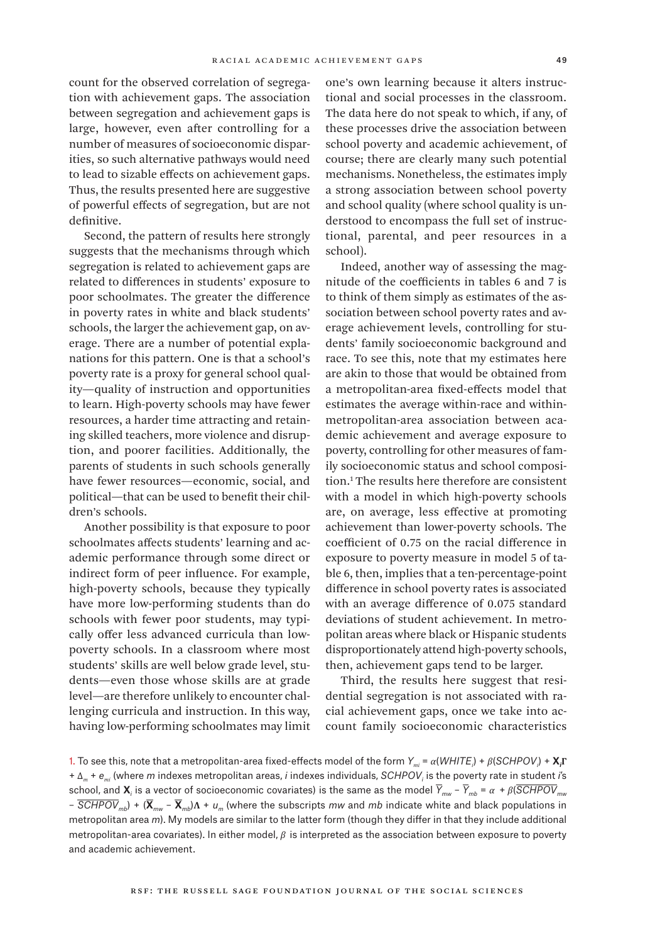count for the observed correlation of segregation with achievement gaps. The association between segregation and achievement gaps is large, however, even after controlling for a number of measures of socioeconomic disparities, so such alternative pathways would need to lead to sizable effects on achievement gaps. Thus, the results presented here are suggestive of powerful effects of segregation, but are not definitive.

Second, the pattern of results here strongly suggests that the mechanisms through which segregation is related to achievement gaps are related to differences in students' exposure to poor schoolmates. The greater the difference in poverty rates in white and black students' schools, the larger the achievement gap, on average. There are a number of potential explanations for this pattern. One is that a school's poverty rate is a proxy for general school quality—quality of instruction and opportunities to learn. High-poverty schools may have fewer resources, a harder time attracting and retaining skilled teachers, more violence and disruption, and poorer facilities. Additionally, the parents of students in such schools generally have fewer resources—economic, social, and political—that can be used to benefit their children's schools.

Another possibility is that exposure to poor schoolmates affects students' learning and academic performance through some direct or indirect form of peer influence. For example, high-poverty schools, because they typically have more low-performing students than do schools with fewer poor students, may typically offer less advanced curricula than lowpoverty schools. In a classroom where most students' skills are well below grade level, students—even those whose skills are at grade level—are therefore unlikely to encounter challenging curricula and instruction. In this way, having low-performing schoolmates may limit

one's own learning because it alters instructional and social processes in the classroom. The data here do not speak to which, if any, of these processes drive the association between school poverty and academic achievement, of course; there are clearly many such potential mechanisms. Nonetheless, the estimates imply a strong association between school poverty and school quality (where school quality is understood to encompass the full set of instructional, parental, and peer resources in a school).

Indeed, another way of assessing the magnitude of the coefficients in tables 6 and 7 is to think of them simply as estimates of the association between school poverty rates and average achievement levels, controlling for students' family socioeconomic background and race. To see this, note that my estimates here are akin to those that would be obtained from a metropolitan-area fixed-effects model that estimates the average within-race and withinmetropolitan-area association between academic achievement and average exposure to poverty, controlling for other measures of family socioeconomic status and school composition.1 The results here therefore are consistent with a model in which high-poverty schools are, on average, less effective at promoting achievement than lower-poverty schools. The coefficient of 0.75 on the racial difference in exposure to poverty measure in model 5 of table 6, then, implies that a ten-percentage-point difference in school poverty rates is associated with an average difference of 0.075 standard deviations of student achievement. In metropolitan areas where black or Hispanic students disproportionately attend high-poverty schools, then, achievement gaps tend to be larger.

Third, the results here suggest that residential segregation is not associated with racial achievement gaps, once we take into account family socioeconomic characteristics

<sup>1.</sup> To see this, note that a metropolitan-area fixed-effects model of the form *Ymi* = *α*(*WHITE<sup>i</sup>* ) + *β*(*SCHPOV<sup>i</sup>* ) + **X***<sup>i</sup>* **Γ**  + Δ*m* + *emi* (where *m* indexes metropolitan areas, *i* indexes individuals, *SCHPOVi* is the poverty rate in student *i*'s school, and **X***<sup>i</sup>* is a vector of socioeconomic covariates) is the same as the model *Ymw* – *Ymb* = *α* + *β*(*SCHPOVmw*  – *SCHPOVmb*) + (**X***mw* – **X***mb*)**Λ** + *um* (where the subscripts *mw* and *mb* indicate white and black populations in metropolitan area *m*). My models are similar to the latter form (though they differ in that they include additional metropolitan-area covariates). In either model, *β* is interpreted as the association between exposure to poverty and academic achievement.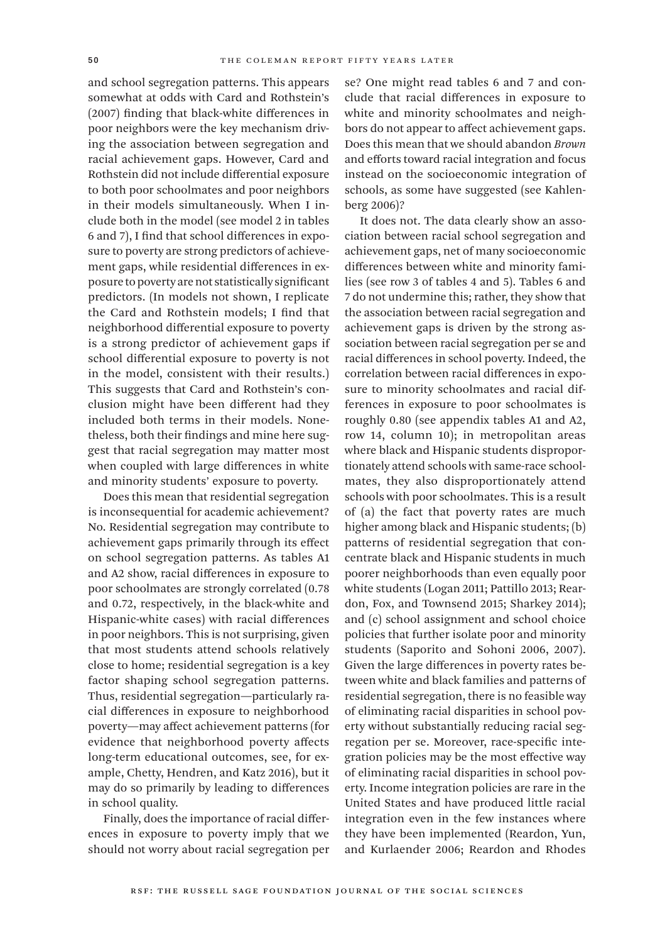and school segregation patterns. This appears somewhat at odds with Card and Rothstein's (2007) finding that black-white differences in poor neighbors were the key mechanism driving the association between segregation and racial achievement gaps. However, Card and Rothstein did not include differential exposure to both poor schoolmates and poor neighbors in their models simultaneously. When I include both in the model (see model 2 in tables 6 and 7), I find that school differences in exposure to poverty are strong predictors of achievement gaps, while residential differences in exposure to poverty are not statistically significant predictors. (In models not shown, I replicate the Card and Rothstein models; I find that neighborhood differential exposure to poverty is a strong predictor of achievement gaps if school differential exposure to poverty is not in the model, consistent with their results.) This suggests that Card and Rothstein's conclusion might have been different had they included both terms in their models. Nonetheless, both their findings and mine here suggest that racial segregation may matter most when coupled with large differences in white and minority students' exposure to poverty.

Does this mean that residential segregation is inconsequential for academic achievement? No. Residential segregation may contribute to achievement gaps primarily through its effect on school segregation patterns. As tables A1 and A2 show, racial differences in exposure to poor schoolmates are strongly correlated (0.78 and 0.72, respectively, in the black-white and Hispanic-white cases) with racial differences in poor neighbors. This is not surprising, given that most students attend schools relatively close to home; residential segregation is a key factor shaping school segregation patterns. Thus, residential segregation—particularly racial differences in exposure to neighborhood poverty—may affect achievement patterns (for evidence that neighborhood poverty affects long-term educational outcomes, see, for example, Chetty, Hendren, and Katz 2016), but it may do so primarily by leading to differences in school quality.

Finally, does the importance of racial differences in exposure to poverty imply that we should not worry about racial segregation per se? One might read tables 6 and 7 and conclude that racial differences in exposure to white and minority schoolmates and neighbors do not appear to affect achievement gaps. Does this mean that we should abandon *Brown* and efforts toward racial integration and focus instead on the socioeconomic integration of schools, as some have suggested (see Kahlenberg 2006)?

It does not. The data clearly show an association between racial school segregation and achievement gaps, net of many socioeconomic differences between white and minority families (see row 3 of tables 4 and 5). Tables 6 and 7 do not undermine this; rather, they show that the association between racial segregation and achievement gaps is driven by the strong association between racial segregation per se and racial differences in school poverty. Indeed, the correlation between racial differences in exposure to minority schoolmates and racial differences in exposure to poor schoolmates is roughly 0.80 (see appendix tables A1 and A2, row 14, column 10); in metropolitan areas where black and Hispanic students disproportionately attend schools with same-race schoolmates, they also disproportionately attend schools with poor schoolmates. This is a result of (a) the fact that poverty rates are much higher among black and Hispanic students; (b) patterns of residential segregation that concentrate black and Hispanic students in much poorer neighborhoods than even equally poor white students (Logan 2011; Pattillo 2013; Reardon, Fox, and Townsend 2015; Sharkey 2014); and (c) school assignment and school choice policies that further isolate poor and minority students (Saporito and Sohoni 2006, 2007). Given the large differences in poverty rates between white and black families and patterns of residential segregation, there is no feasible way of eliminating racial disparities in school poverty without substantially reducing racial segregation per se. Moreover, race-specific integration policies may be the most effective way of eliminating racial disparities in school poverty. Income integration policies are rare in the United States and have produced little racial integration even in the few instances where they have been implemented (Reardon, Yun, and Kurlaender 2006; Reardon and Rhodes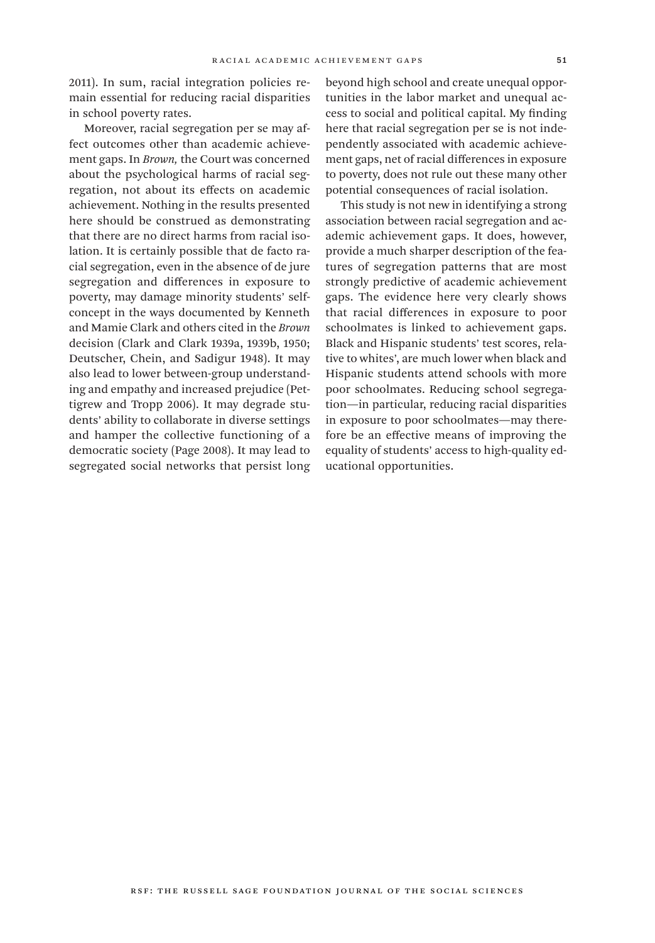2011). In sum, racial integration policies remain essential for reducing racial disparities in school poverty rates.

Moreover, racial segregation per se may affect outcomes other than academic achievement gaps. In *Brown,* the Court was concerned about the psychological harms of racial segregation, not about its effects on academic achievement. Nothing in the results presented here should be construed as demonstrating that there are no direct harms from racial isolation. It is certainly possible that de facto racial segregation, even in the absence of de jure segregation and differences in exposure to poverty, may damage minority students' selfconcept in the ways documented by Kenneth and Mamie Clark and others cited in the *Brown* decision (Clark and Clark 1939a, 1939b, 1950; Deutscher, Chein, and Sadigur 1948). It may also lead to lower between-group understanding and empathy and increased prejudice (Pettigrew and Tropp 2006). It may degrade students' ability to collaborate in diverse settings and hamper the collective functioning of a democratic society (Page 2008). It may lead to segregated social networks that persist long

beyond high school and create unequal opportunities in the labor market and unequal access to social and political capital. My finding here that racial segregation per se is not independently associated with academic achievement gaps, net of racial differences in exposure to poverty, does not rule out these many other potential consequences of racial isolation.

This study is not new in identifying a strong association between racial segregation and academic achievement gaps. It does, however, provide a much sharper description of the features of segregation patterns that are most strongly predictive of academic achievement gaps. The evidence here very clearly shows that racial differences in exposure to poor schoolmates is linked to achievement gaps. Black and Hispanic students' test scores, relative to whites', are much lower when black and Hispanic students attend schools with more poor schoolmates. Reducing school segregation—in particular, reducing racial disparities in exposure to poor schoolmates—may therefore be an effective means of improving the equality of students' access to high-quality educational opportunities.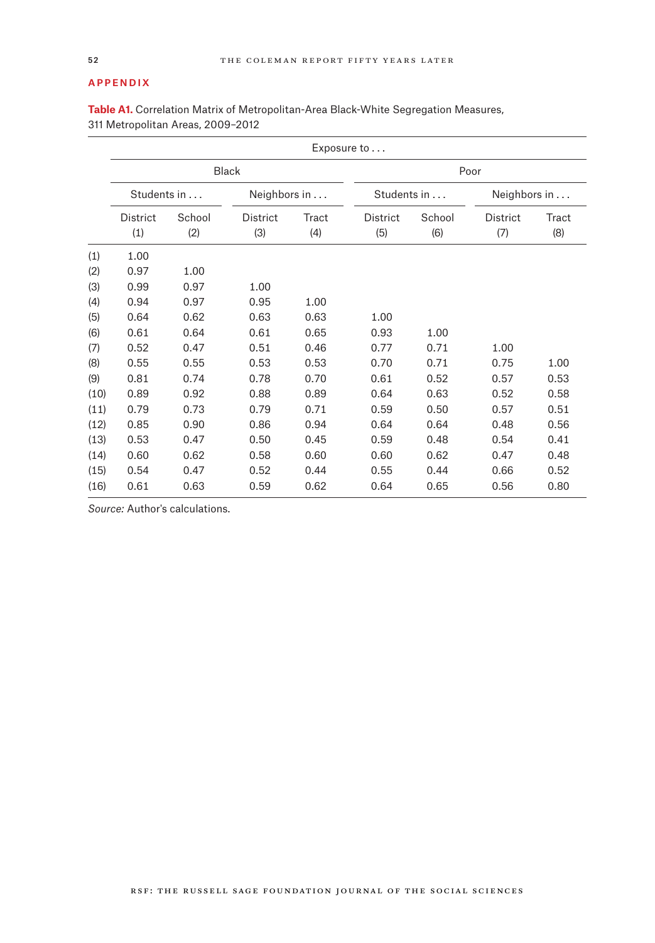### Appendix

|      | Exposure to     |        |                 |       |             |        |              |       |  |  |  |
|------|-----------------|--------|-----------------|-------|-------------|--------|--------------|-------|--|--|--|
|      |                 |        | <b>Black</b>    |       |             |        | Poor         |       |  |  |  |
|      | Students in     |        | Neighbors in    |       | Students in |        | Neighbors in |       |  |  |  |
|      | <b>District</b> | School | <b>District</b> | Tract | District    | School | District     | Tract |  |  |  |
|      | (1)             | (2)    | (3)             | (4)   | (5)         | (6)    | (7)          | (8)   |  |  |  |
| (1)  | 1.00            |        |                 |       |             |        |              |       |  |  |  |
| (2)  | 0.97            | 1.00   |                 |       |             |        |              |       |  |  |  |
| (3)  | 0.99            | 0.97   | 1.00            |       |             |        |              |       |  |  |  |
| (4)  | 0.94            | 0.97   | 0.95            | 1.00  |             |        |              |       |  |  |  |
| (5)  | 0.64            | 0.62   | 0.63            | 0.63  | 1.00        |        |              |       |  |  |  |
| (6)  | 0.61            | 0.64   | 0.61            | 0.65  | 0.93        | 1.00   |              |       |  |  |  |
| (7)  | 0.52            | 0.47   | 0.51            | 0.46  | 0.77        | 0.71   | 1.00         |       |  |  |  |
| (8)  | 0.55            | 0.55   | 0.53            | 0.53  | 0.70        | 0.71   | 0.75         | 1.00  |  |  |  |
| (9)  | 0.81            | 0.74   | 0.78            | 0.70  | 0.61        | 0.52   | 0.57         | 0.53  |  |  |  |
| (10) | 0.89            | 0.92   | 0.88            | 0.89  | 0.64        | 0.63   | 0.52         | 0.58  |  |  |  |
| (11) | 0.79            | 0.73   | 0.79            | 0.71  | 0.59        | 0.50   | 0.57         | 0.51  |  |  |  |
| (12) | 0.85            | 0.90   | 0.86            | 0.94  | 0.64        | 0.64   | 0.48         | 0.56  |  |  |  |
| (13) | 0.53            | 0.47   | 0.50            | 0.45  | 0.59        | 0.48   | 0.54         | 0.41  |  |  |  |
| (14) | 0.60            | 0.62   | 0.58            | 0.60  | 0.60        | 0.62   | 0.47         | 0.48  |  |  |  |
| (15) | 0.54            | 0.47   | 0.52            | 0.44  | 0.55        | 0.44   | 0.66         | 0.52  |  |  |  |
| (16) | 0.61            | 0.63   | 0.59            | 0.62  | 0.64        | 0.65   | 0.56         | 0.80  |  |  |  |

**Table A1.** Correlation Matrix of Metropolitan-Area Black-White Segregation Measures, 311 Metropolitan Areas, 2009–2012

*Source:* Author's calculations.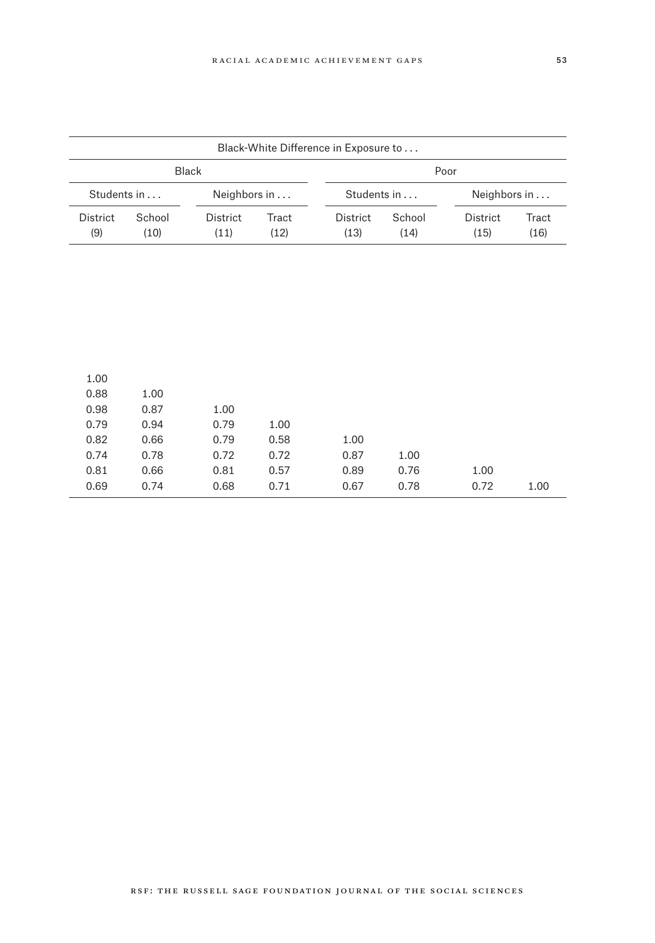|          | Black-White Difference in Exposure to |          |              |             |        |          |              |  |
|----------|---------------------------------------|----------|--------------|-------------|--------|----------|--------------|--|
|          | Black<br>Poor                         |          |              |             |        |          |              |  |
|          | Students in                           |          | Neighbors in | Students in |        |          | Neighbors in |  |
| District | School                                | District | Tract        |             | School | District | Tract        |  |
| (9)      | (10)                                  | (11)     | (12)         | (13)        | (14)   | (15)     | (16)         |  |
|          |                                       |          |              |             |        |          |              |  |
|          |                                       |          |              |             |        |          |              |  |
|          |                                       |          |              |             |        |          |              |  |
|          |                                       |          |              |             |        |          |              |  |
|          |                                       |          |              |             |        |          |              |  |
|          |                                       |          |              |             |        |          |              |  |
|          |                                       |          |              |             |        |          |              |  |
|          |                                       |          |              |             |        |          |              |  |
| 1.00     |                                       |          |              |             |        |          |              |  |
| 0.88     | 1.00                                  |          |              |             |        |          |              |  |
| 0.98     | 0.87                                  | 1.00     |              |             |        |          |              |  |
| 0.79     | 0.94                                  | 0.79     | 1.00         |             |        |          |              |  |
| 0.82     | 0.66                                  | 0.79     | 0.58         | 1.00        |        |          |              |  |
| 0.74     | 0.78                                  | 0.72     | 0.72         | 0.87        | 1.00   |          |              |  |
| 0.81     | 0.66                                  | 0.81     | 0.57         | 0.89        | 0.76   | 1.00     |              |  |

(16) 0.61 0.63 0.59 0.62 0.64 0.65 0.56 0.80 0.69 0.74 0.68 0.71 0.67 0.78 0.72 1.00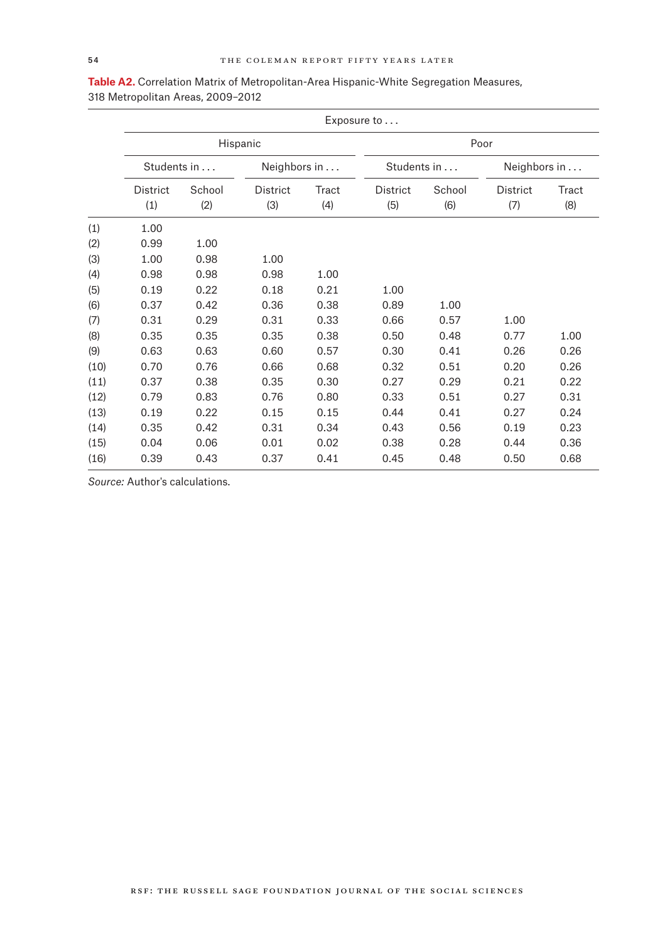|      |             |        |              |       | Exposure to |        |              |       |
|------|-------------|--------|--------------|-------|-------------|--------|--------------|-------|
|      |             |        | Hispanic     |       |             |        | Poor         |       |
|      | Students in |        | Neighbors in |       | Students in |        | Neighbors in |       |
|      | District    | School | District     | Tract | District    | School | District     | Tract |
|      | (1)         | (2)    | (3)          | (4)   | (5)         | (6)    | (7)          | (8)   |
| (1)  | 1.00        |        |              |       |             |        |              |       |
| (2)  | 0.99        | 1.00   |              |       |             |        |              |       |
| (3)  | 1.00        | 0.98   | 1.00         |       |             |        |              |       |
| (4)  | 0.98        | 0.98   | 0.98         | 1.00  |             |        |              |       |
| (5)  | 0.19        | 0.22   | 0.18         | 0.21  | 1.00        |        |              |       |
| (6)  | 0.37        | 0.42   | 0.36         | 0.38  | 0.89        | 1.00   |              |       |
| (7)  | 0.31        | 0.29   | 0.31         | 0.33  | 0.66        | 0.57   | 1.00         |       |
| (8)  | 0.35        | 0.35   | 0.35         | 0.38  | 0.50        | 0.48   | 0.77         | 1.00  |
| (9)  | 0.63        | 0.63   | 0.60         | 0.57  | 0.30        | 0.41   | 0.26         | 0.26  |
| (10) | 0.70        | 0.76   | 0.66         | 0.68  | 0.32        | 0.51   | 0.20         | 0.26  |
| (11) | 0.37        | 0.38   | 0.35         | 0.30  | 0.27        | 0.29   | 0.21         | 0.22  |
| (12) | 0.79        | 0.83   | 0.76         | 0.80  | 0.33        | 0.51   | 0.27         | 0.31  |
| (13) | 0.19        | 0.22   | 0.15         | 0.15  | 0.44        | 0.41   | 0.27         | 0.24  |
| (14) | 0.35        | 0.42   | 0.31         | 0.34  | 0.43        | 0.56   | 0.19         | 0.23  |
| (15) | 0.04        | 0.06   | 0.01         | 0.02  | 0.38        | 0.28   | 0.44         | 0.36  |
| (16) | 0.39        | 0.43   | 0.37         | 0.41  | 0.45        | 0.48   | 0.50         | 0.68  |

| Table A2. Correlation Matrix of Metropolitan-Area Hispanic-White Segregation Measures, |
|----------------------------------------------------------------------------------------|
| 318 Metropolitan Areas, 2009–2012                                                      |

*Source:* Author's calculations.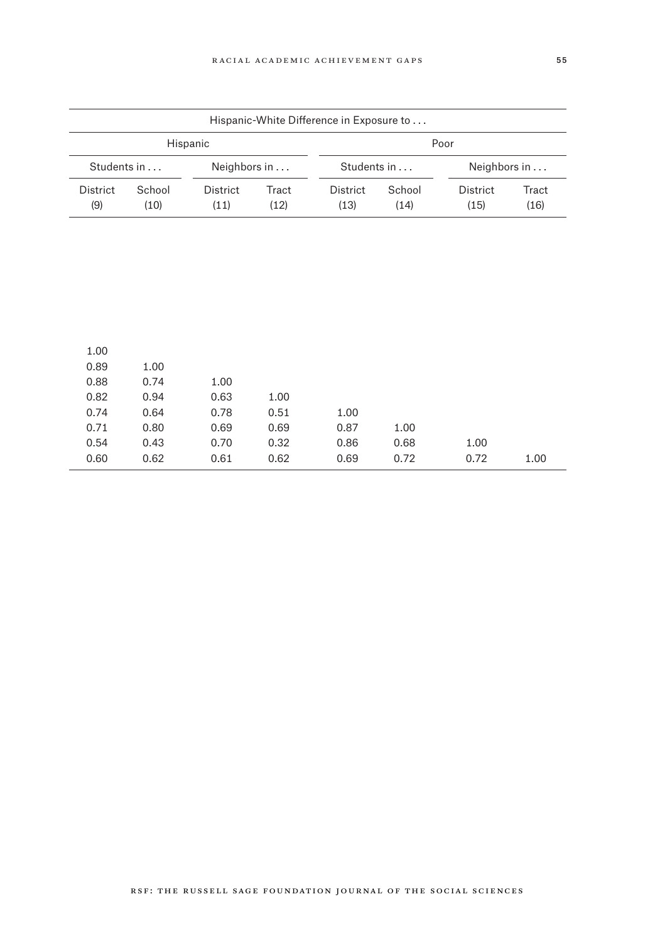|                 |             |                 |              | Hispanic-White Difference in Exposure to |        |                 |       |              |  |
|-----------------|-------------|-----------------|--------------|------------------------------------------|--------|-----------------|-------|--------------|--|
|                 | Hispanic    |                 |              |                                          |        | Poor            |       |              |  |
|                 | Students in |                 | Neighbors in |                                          |        | Students in     |       | Neighbors in |  |
| <b>District</b> | School      | <b>District</b> | Tract        | District                                 | School | <b>District</b> | Tract |              |  |
| (9)             | (10)        | (11)            | (12)         | (13)                                     | (14)   | (15)            | (16)  |              |  |

| 1.00<br>0.87<br>1.00<br>0.86<br>0.68<br>1.00<br>0.72<br>1.00 |              |      |      |      | 1.00 |
|--------------------------------------------------------------|--------------|------|------|------|------|
|                                                              |              |      |      | 1.00 | 0.89 |
|                                                              |              |      | 1.00 | 0.74 | 0.88 |
|                                                              |              | 1.00 | 0.63 | 0.94 | 0.82 |
|                                                              |              | 0.51 | 0.78 | 0.64 | 0.74 |
|                                                              |              | 0.69 | 0.69 | 0.80 | 0.71 |
|                                                              |              | 0.32 | 0.70 | 0.43 | 0.54 |
|                                                              | 0.69<br>0.72 | 0.62 | 0.61 | 0.62 | 0.60 |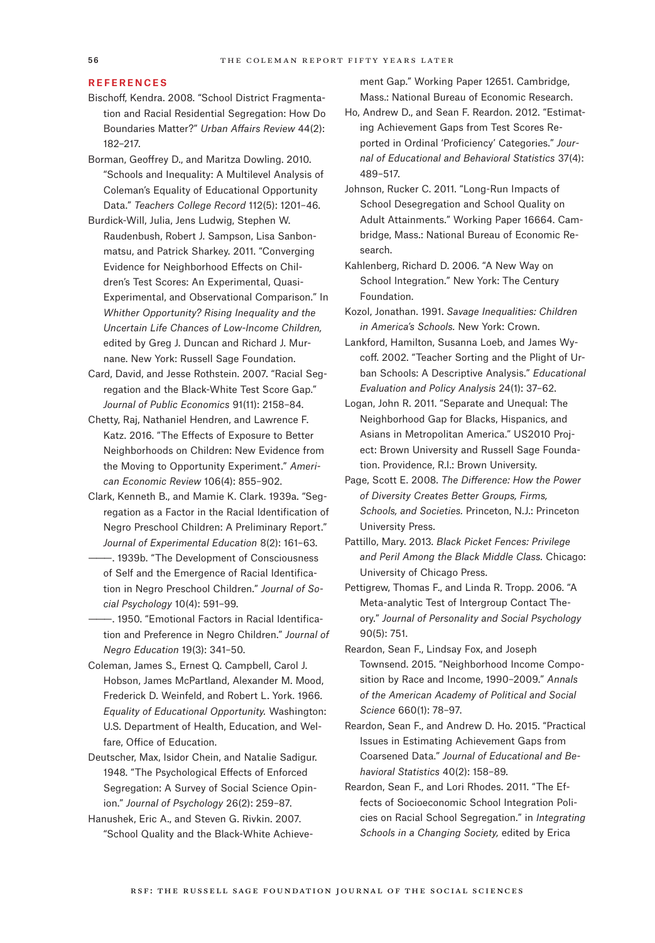#### **REFERENCES**

- Bischoff, Kendra. 2008. "School District Fragmentation and Racial Residential Segregation: How Do Boundaries Matter?" *Urban Affairs Review* 44(2): 182–217.
- Borman, Geoffrey D., and Maritza Dowling. 2010. "Schools and Inequality: A Multilevel Analysis of Coleman's Equality of Educational Opportunity Data." *Teachers College Record* 112(5): 1201–46.
- Burdick-Will, Julia, Jens Ludwig, Stephen W. Raudenbush, Robert J. Sampson, Lisa Sanbonmatsu, and Patrick Sharkey. 2011. "Converging Evidence for Neighborhood Effects on Children's Test Scores: An Experimental, Quasi-Experimental, and Observational Comparison." In *Whither Opportunity? Rising Inequality and the Uncertain Life Chances of Low-Income Children,* edited by Greg J. Duncan and Richard J. Murnane. New York: Russell Sage Foundation.
- Card, David, and Jesse Rothstein. 2007. "Racial Segregation and the Black-White Test Score Gap." *Journal of Public Economics* 91(11): 2158–84.
- Chetty, Raj, Nathaniel Hendren, and Lawrence F. Katz. 2016. "The Effects of Exposure to Better Neighborhoods on Children: New Evidence from the Moving to Opportunity Experiment." *American Economic Review* 106(4): 855–902.
- Clark, Kenneth B., and Mamie K. Clark. 1939a. "Segregation as a Factor in the Racial Identification of Negro Preschool Children: A Preliminary Report." *Journal of Experimental Education* 8(2): 161–63.
- $-$ . 1939b. "The Development of Consciousness of Self and the Emergence of Racial Identification in Negro Preschool Children." *Journal of Social Psychology* 10(4): 591–99.
- -. 1950. "Emotional Factors in Racial Identification and Preference in Negro Children." *Journal of Negro Education* 19(3): 341–50.
- Coleman, James S., Ernest Q. Campbell, Carol J. Hobson, James McPartland, Alexander M. Mood, Frederick D. Weinfeld, and Robert L. York. 1966. *Equality of Educational Opportunity.* Washington: U.S. Department of Health, Education, and Welfare, Office of Education.
- Deutscher, Max, Isidor Chein, and Natalie Sadigur. 1948. "The Psychological Effects of Enforced Segregation: A Survey of Social Science Opinion." *Journal of Psychology* 26(2): 259–87.
- Hanushek, Eric A., and Steven G. Rivkin. 2007. "School Quality and the Black-White Achieve-

ment Gap." Working Paper 12651. Cambridge, Mass.: National Bureau of Economic Research.

- Ho, Andrew D., and Sean F. Reardon. 2012. "Estimating Achievement Gaps from Test Scores Reported in Ordinal 'Proficiency' Categories." *Journal of Educational and Behavioral Statistics* 37(4): 489–517.
- Johnson, Rucker C. 2011. "Long-Run Impacts of School Desegregation and School Quality on Adult Attainments." Working Paper 16664. Cambridge, Mass.: National Bureau of Economic Research.
- Kahlenberg, Richard D. 2006. "A New Way on School Integration." New York: The Century Foundation.
- Kozol, Jonathan. 1991. *Savage Inequalities: Children in America's Schools.* New York: Crown.
- Lankford, Hamilton, Susanna Loeb, and James Wycoff. 2002. "Teacher Sorting and the Plight of Urban Schools: A Descriptive Analysis." *Educational Evaluation and Policy Analysis* 24(1): 37–62.
- Logan, John R. 2011. "Separate and Unequal: The Neighborhood Gap for Blacks, Hispanics, and Asians in Metropolitan America." US2010 Project: Brown University and Russell Sage Foundation. Providence, R.I.: Brown University.
- Page, Scott E. 2008. *The Difference: How the Power of Diversity Creates Better Groups, Firms, Schools, and Societies.* Princeton, N.J.: Princeton University Press.
- Pattillo, Mary. 2013. *Black Picket Fences: Privilege and Peril Among the Black Middle Class.* Chicago: University of Chicago Press.
- Pettigrew, Thomas F., and Linda R. Tropp. 2006. "A Meta-analytic Test of Intergroup Contact Theory." *Journal of Personality and Social Psychology* 90(5): 751.
- Reardon, Sean F., Lindsay Fox, and Joseph Townsend. 2015. "Neighborhood Income Composition by Race and Income, 1990–2009." *Annals of the American Academy of Political and Social Science* 660(1): 78–97.
- Reardon, Sean F., and Andrew D. Ho. 2015. "Practical Issues in Estimating Achievement Gaps from Coarsened Data." *Journal of Educational and Behavioral Statistics* 40(2): 158–89.
- Reardon, Sean F., and Lori Rhodes. 2011. "The Effects of Socioeconomic School Integration Policies on Racial School Segregation." in *Integrating Schools in a Changing Society,* edited by Erica